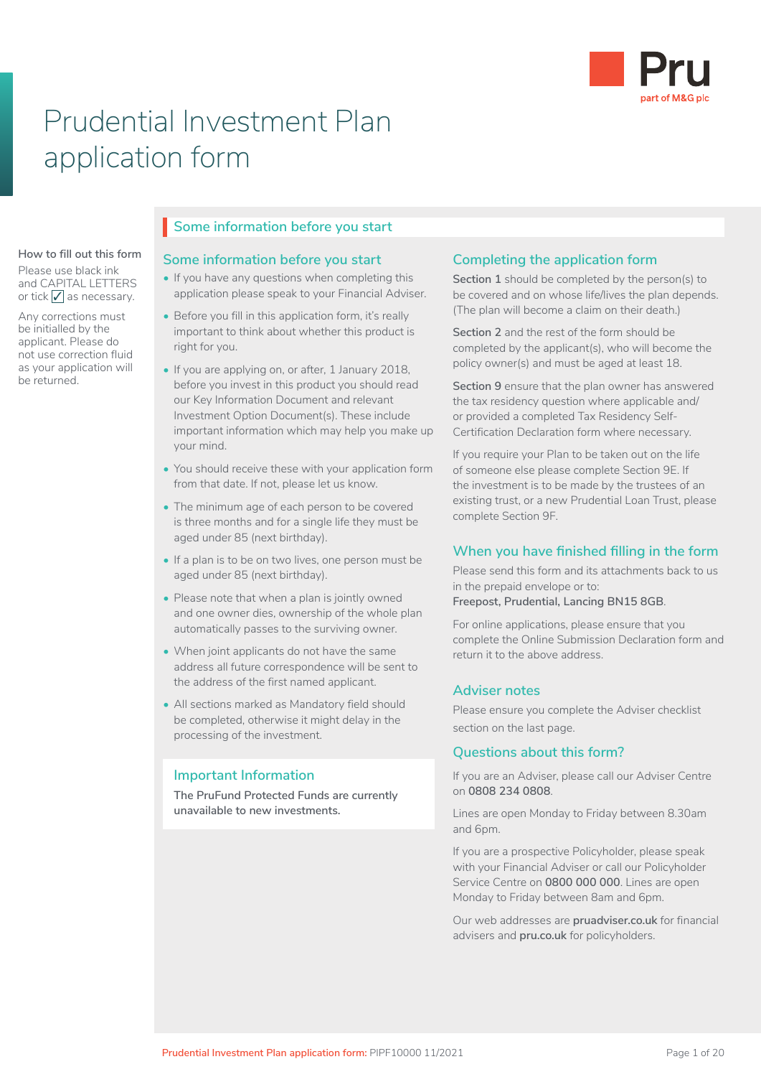

# Prudential Investment Plan application form

#### **How to fill out this form**

Please use black ink and CAPITAL LETTERS or tick  $\sqrt{\ }$  as necessary.

Any corrections must be initialled by the applicant. Please do not use correction fluid as your application will be returned.

## **Some information before you start**

## **Some information before you start**

- If you have any questions when completing this application please speak to your Financial Adviser.
- Before you fill in this application form, it's really important to think about whether this product is right for you.
- If you are applying on, or after, 1 January 2018, before you invest in this product you should read our Key Information Document and relevant Investment Option Document(s). These include important information which may help you make up your mind.
- You should receive these with your application form from that date. If not, please let us know.
- The minimum age of each person to be covered is three months and for a single life they must be aged under 85 (next birthday).
- If a plan is to be on two lives, one person must be aged under 85 (next birthday).
- Please note that when a plan is jointly owned and one owner dies, ownership of the whole plan automatically passes to the surviving owner.
- When joint applicants do not have the same address all future correspondence will be sent to the address of the first named applicant.
- All sections marked as Mandatory field should be completed, otherwise it might delay in the processing of the investment.

## **Important Information**

**The PruFund Protected Funds are currently unavailable to new investments.**

## **Completing the application form**

**Section 1** should be completed by the person(s) to be covered and on whose life/lives the plan depends. (The plan will become a claim on their death.)

**Section 2** and the rest of the form should be completed by the applicant(s), who will become the policy owner(s) and must be aged at least 18.

**Section 9** ensure that the plan owner has answered the tax residency question where applicable and/ or provided a completed Tax Residency Self-Certification Declaration form where necessary.

If you require your Plan to be taken out on the life of someone else please complete Section 9E. If the investment is to be made by the trustees of an existing trust, or a new Prudential Loan Trust, please complete Section 9F.

## **When you have finished filling in the form**

Please send this form and its attachments back to us in the prepaid envelope or to:

**Freepost, Prudential, Lancing BN15 8GB**.

For online applications, please ensure that you complete the Online Submission Declaration form and return it to the above address.

## **Adviser notes**

Please ensure you complete the Adviser checklist section on the last page.

## **Questions about this form?**

If you are an Adviser, please call our Adviser Centre on **0808 234 0808**.

Lines are open Monday to Friday between 8.30am and 6pm.

If you are a prospective Policyholder, please speak with your Financial Adviser or call our Policyholder Service Centre on **0800 000 000**. Lines are open Monday to Friday between 8am and 6pm.

Our web addresses are **[pruadviser.co.uk](http://www.pruadviser.co.uk)** for financial advisers and **[pru.co.uk](https://www.pru.co.uk/)** for policyholders.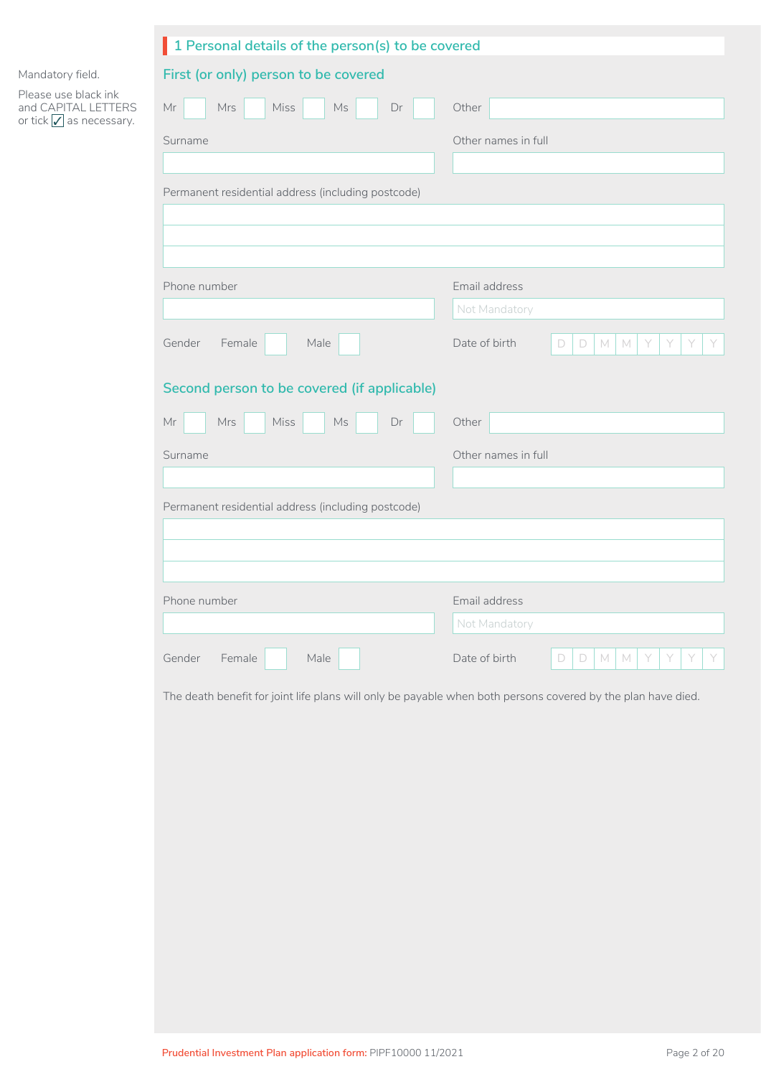|                                                                                  | 1 Personal details of the person(s) to be covered                                                            |                                                             |
|----------------------------------------------------------------------------------|--------------------------------------------------------------------------------------------------------------|-------------------------------------------------------------|
| Mandatory field.                                                                 | First (or only) person to be covered                                                                         |                                                             |
| Please use black ink<br>and CAPITAL LETTERS<br>or tick $\sqrt{\ }$ as necessary. | $\mathsf{Mr}$<br>Mrs<br>Miss<br>Dr<br>$\mathsf{Ms}$                                                          | Other                                                       |
|                                                                                  | Surname                                                                                                      | Other names in full                                         |
|                                                                                  |                                                                                                              |                                                             |
|                                                                                  | Permanent residential address (including postcode)                                                           |                                                             |
|                                                                                  |                                                                                                              |                                                             |
|                                                                                  |                                                                                                              |                                                             |
|                                                                                  | Phone number                                                                                                 | Email address                                               |
|                                                                                  |                                                                                                              | Not Mandatory                                               |
|                                                                                  | Female<br>Male<br>Gender                                                                                     | Date of birth<br>$\Box$<br>MMY<br>$\Box$<br>Y               |
|                                                                                  | Second person to be covered (if applicable)                                                                  |                                                             |
|                                                                                  | $\mathsf{Mr}$<br>Mrs<br>Miss<br>$\mathsf{Ms}$<br>Dr                                                          | Other                                                       |
|                                                                                  | Surname                                                                                                      | Other names in full                                         |
|                                                                                  |                                                                                                              |                                                             |
|                                                                                  | Permanent residential address (including postcode)                                                           |                                                             |
|                                                                                  |                                                                                                              |                                                             |
|                                                                                  |                                                                                                              |                                                             |
|                                                                                  |                                                                                                              |                                                             |
|                                                                                  | Phone number                                                                                                 | Email address<br>Not Mandatory                              |
|                                                                                  |                                                                                                              |                                                             |
|                                                                                  | Gender<br>Female<br>Male                                                                                     | Date of birth<br>$\Box$<br>$M$ $M$<br>$\Box$<br>Y<br>Y<br>Y |
|                                                                                  | The death benefit for joint life plans will only be payable when both persons covered by the plan have died. |                                                             |
|                                                                                  |                                                                                                              |                                                             |
|                                                                                  |                                                                                                              |                                                             |
|                                                                                  |                                                                                                              |                                                             |
|                                                                                  |                                                                                                              |                                                             |
|                                                                                  |                                                                                                              |                                                             |
|                                                                                  |                                                                                                              |                                                             |
|                                                                                  |                                                                                                              |                                                             |
|                                                                                  |                                                                                                              |                                                             |
|                                                                                  |                                                                                                              |                                                             |
|                                                                                  |                                                                                                              |                                                             |
|                                                                                  |                                                                                                              |                                                             |
|                                                                                  |                                                                                                              |                                                             |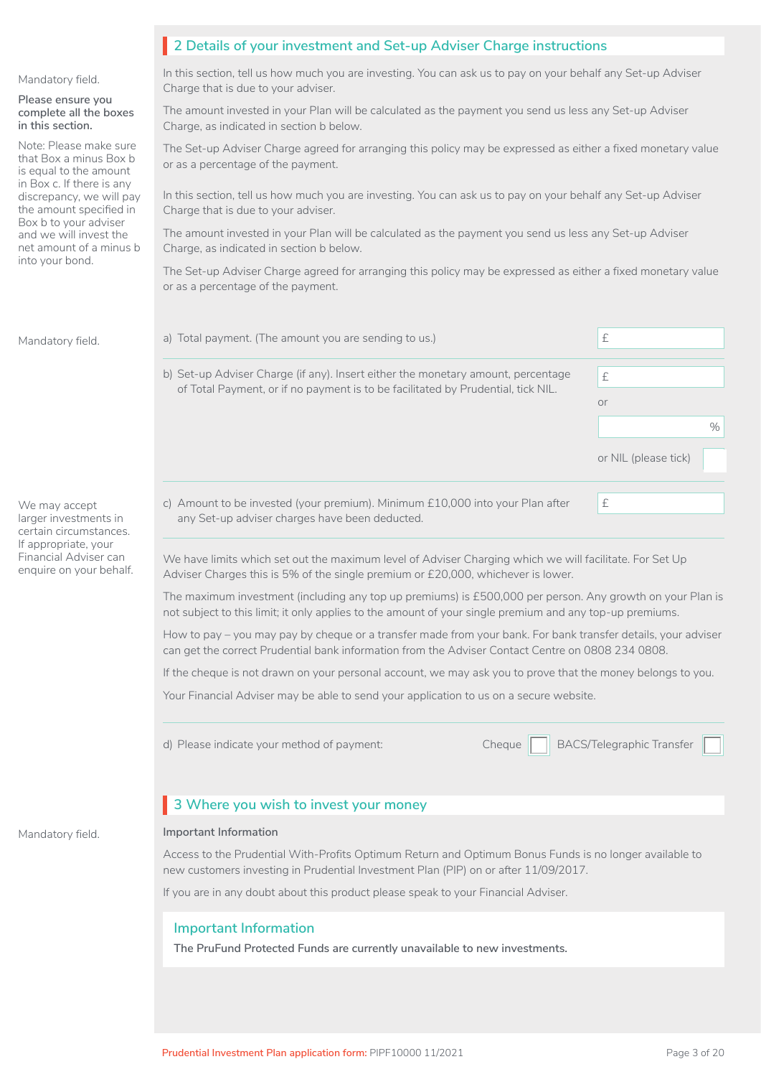| 2 Details of your investment and Set-up Adviser Charge instructions                                                                                                                                                   |                                                                                  |  |  |  |  |  |
|-----------------------------------------------------------------------------------------------------------------------------------------------------------------------------------------------------------------------|----------------------------------------------------------------------------------|--|--|--|--|--|
| In this section, tell us how much you are investing. You can ask us to pay on your behalf any Set-up Adviser<br>Charge that is due to your adviser.                                                                   |                                                                                  |  |  |  |  |  |
| The amount invested in your Plan will be calculated as the payment you send us less any Set-up Adviser<br>Charge, as indicated in section b below.                                                                    |                                                                                  |  |  |  |  |  |
| The Set-up Adviser Charge agreed for arranging this policy may be expressed as either a fixed monetary value<br>or as a percentage of the payment.                                                                    |                                                                                  |  |  |  |  |  |
| In this section, tell us how much you are investing. You can ask us to pay on your behalf any Set-up Adviser<br>Charge that is due to your adviser.                                                                   |                                                                                  |  |  |  |  |  |
| The amount invested in your Plan will be calculated as the payment you send us less any Set-up Adviser<br>Charge, as indicated in section b below.                                                                    |                                                                                  |  |  |  |  |  |
| The Set-up Adviser Charge agreed for arranging this policy may be expressed as either a fixed monetary value<br>or as a percentage of the payment.                                                                    |                                                                                  |  |  |  |  |  |
| a) Total payment. (The amount you are sending to us.)                                                                                                                                                                 | $\pounds$                                                                        |  |  |  |  |  |
| b) Set-up Adviser Charge (if any). Insert either the monetary amount, percentage                                                                                                                                      | $\hat{\pm}$                                                                      |  |  |  |  |  |
|                                                                                                                                                                                                                       | or                                                                               |  |  |  |  |  |
|                                                                                                                                                                                                                       | $\%$                                                                             |  |  |  |  |  |
|                                                                                                                                                                                                                       | or NIL (please tick)                                                             |  |  |  |  |  |
| c) Amount to be invested (your premium). Minimum £10,000 into your Plan after<br>any Set-up adviser charges have been deducted.                                                                                       | $\pounds$                                                                        |  |  |  |  |  |
| We have limits which set out the maximum level of Adviser Charging which we will facilitate. For Set Up<br>Adviser Charges this is 5% of the single premium or £20,000, whichever is lower.                           |                                                                                  |  |  |  |  |  |
| The maximum investment (including any top up premiums) is £500,000 per person. Any growth on your Plan is<br>not subject to this limit; it only applies to the amount of your single premium and any top-up premiums. |                                                                                  |  |  |  |  |  |
| How to pay – you may pay by cheque or a transfer made from your bank. For bank transfer details, your adviser<br>can get the correct Prudential bank information from the Adviser Contact Centre on 0808 234 0808.    |                                                                                  |  |  |  |  |  |
| If the cheque is not drawn on your personal account, we may ask you to prove that the money belongs to you.                                                                                                           |                                                                                  |  |  |  |  |  |
| Your Financial Adviser may be able to send your application to us on a secure website.                                                                                                                                |                                                                                  |  |  |  |  |  |
| <b>BACS/Telegraphic Transfer</b><br>d) Please indicate your method of payment:<br>Cheque                                                                                                                              |                                                                                  |  |  |  |  |  |
| 3 Where you wish to invest your money                                                                                                                                                                                 |                                                                                  |  |  |  |  |  |
| Important Information                                                                                                                                                                                                 |                                                                                  |  |  |  |  |  |
| Access to the Prudential With-Profits Optimum Return and Optimum Bonus Funds is no longer available to<br>new customers investing in Prudential Investment Plan (PIP) on or after 11/09/2017.                         |                                                                                  |  |  |  |  |  |
| If you are in any doubt about this product please speak to your Financial Adviser.                                                                                                                                    |                                                                                  |  |  |  |  |  |
| <b>Important Information</b><br>The PruFund Protected Funds are currently unavailable to new investments.                                                                                                             |                                                                                  |  |  |  |  |  |
|                                                                                                                                                                                                                       |                                                                                  |  |  |  |  |  |
|                                                                                                                                                                                                                       | of Total Payment, or if no payment is to be facilitated by Prudential, tick NIL. |  |  |  |  |  |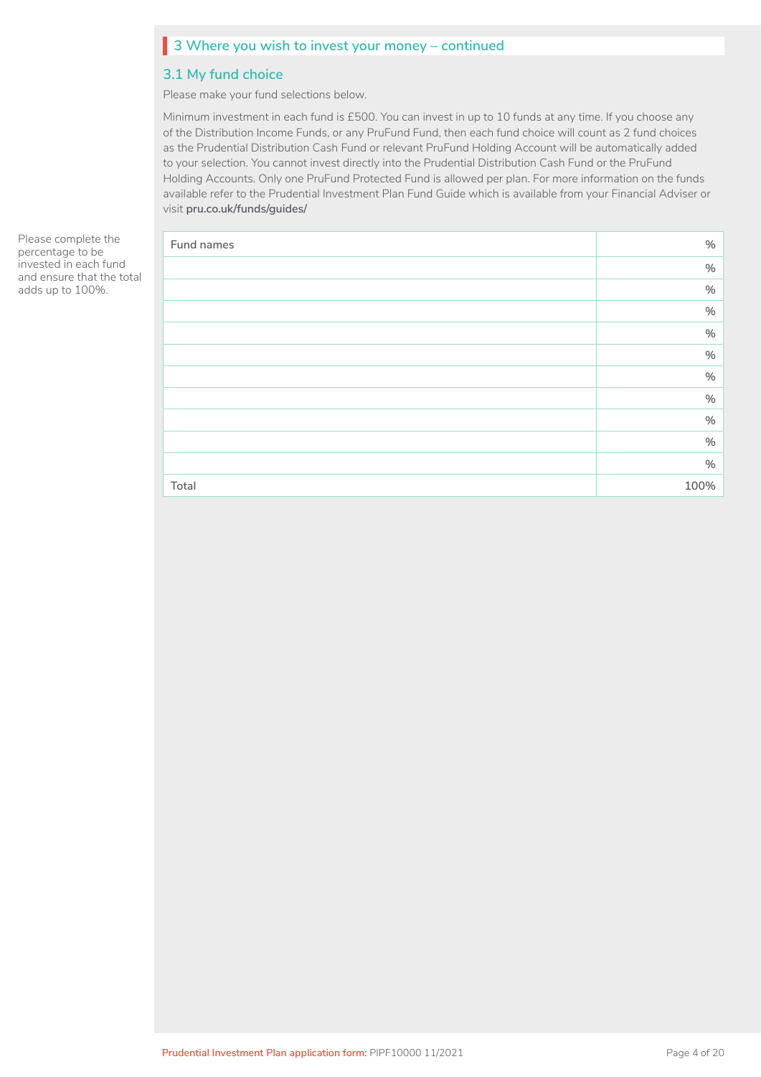## **3 Where you wish to invest your money – continued** I

### **3.1 My fund choice**

Please make your fund selections below.

Minimum investment in each fund is £500. You can invest in up to 10 funds at any time. If you choose any of the Distribution Income Funds, or any PruFund Fund, then each fund choice will count as 2 fund choices as the Prudential Distribution Cash Fund or relevant PruFund Holding Account will be automatically added to your selection. You cannot invest directly into the Prudential Distribution Cash Fund or the PruFund Holding Accounts. Only one PruFund Protected Fund is allowed per plan. For more information on the funds available refer to the Prudential Investment Plan Fund Guide which is available from your Financial Adviser or visit **[pru.co.uk/funds/guides/](https://www.pru.co.uk/funds/guides/)**

| ete the<br>be                    | Fund names | $\%$ |
|----------------------------------|------------|------|
| ach fund<br>at the total<br>00%. |            | $\%$ |
|                                  |            | $\%$ |
|                                  |            | $\%$ |
|                                  |            | $\%$ |
|                                  |            | $\%$ |
|                                  |            | $\%$ |
|                                  |            | $\%$ |
|                                  |            | $\%$ |
|                                  |            | $\%$ |
|                                  |            | $\%$ |
|                                  | Total      | 100% |
|                                  |            |      |

Please comple percentage to invested in ea and ensure th adds up to 10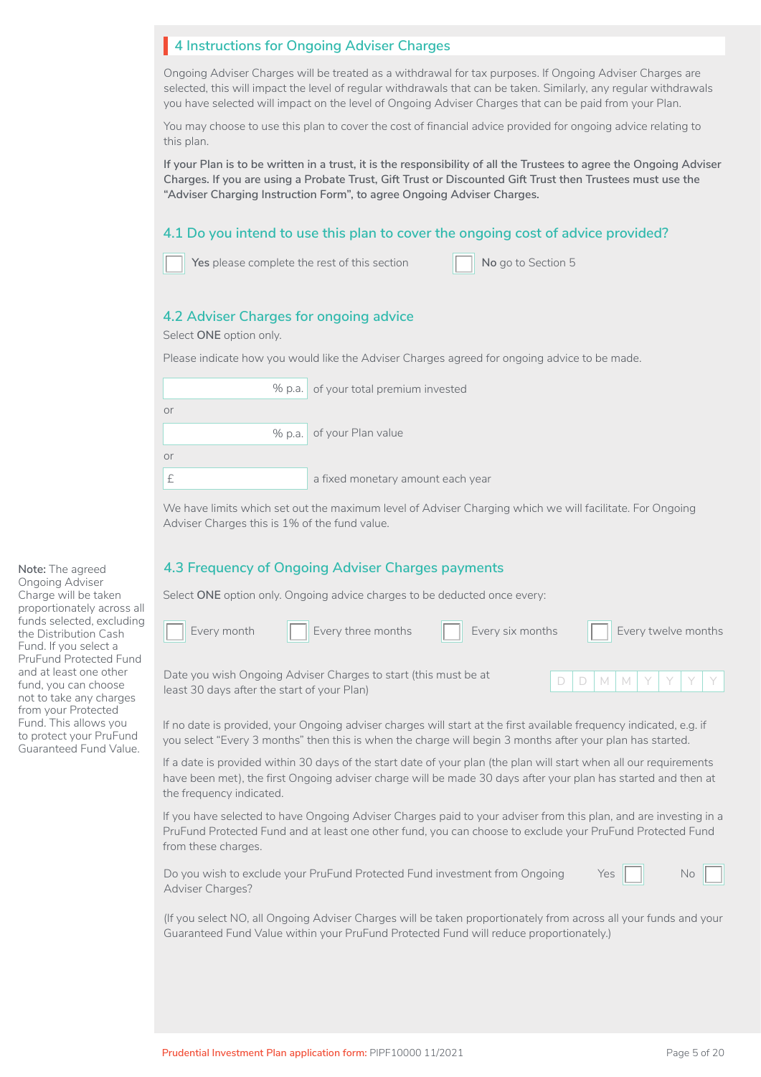## **4 Instructions for Ongoing Adviser Charges** I

Ongoing Adviser Charges will be treated as a withdrawal for tax purposes. If Ongoing Adviser Charges are selected, this will impact the level of regular withdrawals that can be taken. Similarly, any regular withdrawals you have selected will impact on the level of Ongoing Adviser Charges that can be paid from your Plan.

You may choose to use this plan to cover the cost of financial advice provided for ongoing advice relating to this plan.

**If your Plan is to be written in a trust, it is the responsibility of all the Trustees to agree the Ongoing Adviser Charges. If you are using a Probate Trust, Gift Trust or Discounted Gift Trust then Trustees must use the "Adviser Charging Instruction Form", to agree Ongoing Adviser Charges.**

## **4.1 Do you intend to use this plan to cover the ongoing cost of advice provided?**

| Yes please complete the rest of this section | $\sqrt{ }$ No go to Section 5 |
|----------------------------------------------|-------------------------------|
|                                              |                               |

## **4.2 Adviser Charges for ongoing advice**

Select **ONE** option only.

Please indicate how you would like the Adviser Charges agreed for ongoing advice to be made.

|    | % p.a. of your total premium invested |
|----|---------------------------------------|
| or |                                       |
|    | % p.a. of your Plan value             |
| or |                                       |
|    | a fixed monetary amount each year     |

We have limits which set out the maximum level of Adviser Charging which we will facilitate. For Ongoing Adviser Charges this is 1% of the fund value.

## **4.3 Frequency of Ongoing Adviser Charges payments**

Select **ONE** option only. Ongoing advice charges to be deducted once every:

| Every month<br>$\sqrt{\frac{1}{100}}$ Every three months<br>Every six months                                                                                                                                                     |  |  |  | Every twelve months |                                   |
|----------------------------------------------------------------------------------------------------------------------------------------------------------------------------------------------------------------------------------|--|--|--|---------------------|-----------------------------------|
| Date you wish Ongoing Adviser Charges to start (this must be at<br>least 30 days after the start of your Plan)                                                                                                                   |  |  |  |                     | $D   D   M   M   Y   Y   Y   Y  $ |
| If no date is provided, your Ongoing adviser charges will start at the first available frequency indicated, e.g. if<br>you select "Every 3 months" then this is when the charge will begin 3 months after your plan has started. |  |  |  |                     |                                   |

If a date is provided within 30 days of the start date of your plan (the plan will start when all our requirements have been met), the first Ongoing adviser charge will be made 30 days after your plan has started and then at the frequency indicated.

If you have selected to have Ongoing Adviser Charges paid to your adviser from this plan, and are investing in a PruFund Protected Fund and at least one other fund, you can choose to exclude your PruFund Protected Fund from these charges.

Do you wish to exclude your PruFund Protected Fund investment from Ongoing Yes  $\Box$  No Adviser Charges?

□

(If you select NO, all Ongoing Adviser Charges will be taken proportionately from across all your funds and your Guaranteed Fund Value within your PruFund Protected Fund will reduce proportionately.)

**Note:** The agreed Ongoing Adviser Charge will be taken proportionately across all funds selected, excluding the Distribution Cash Fund. If you select a PruFund Protected Fund and at least one other fund, you can choose not to take any charges from your Protected Fund. This allows you to protect your PruFund Guaranteed Fund Value.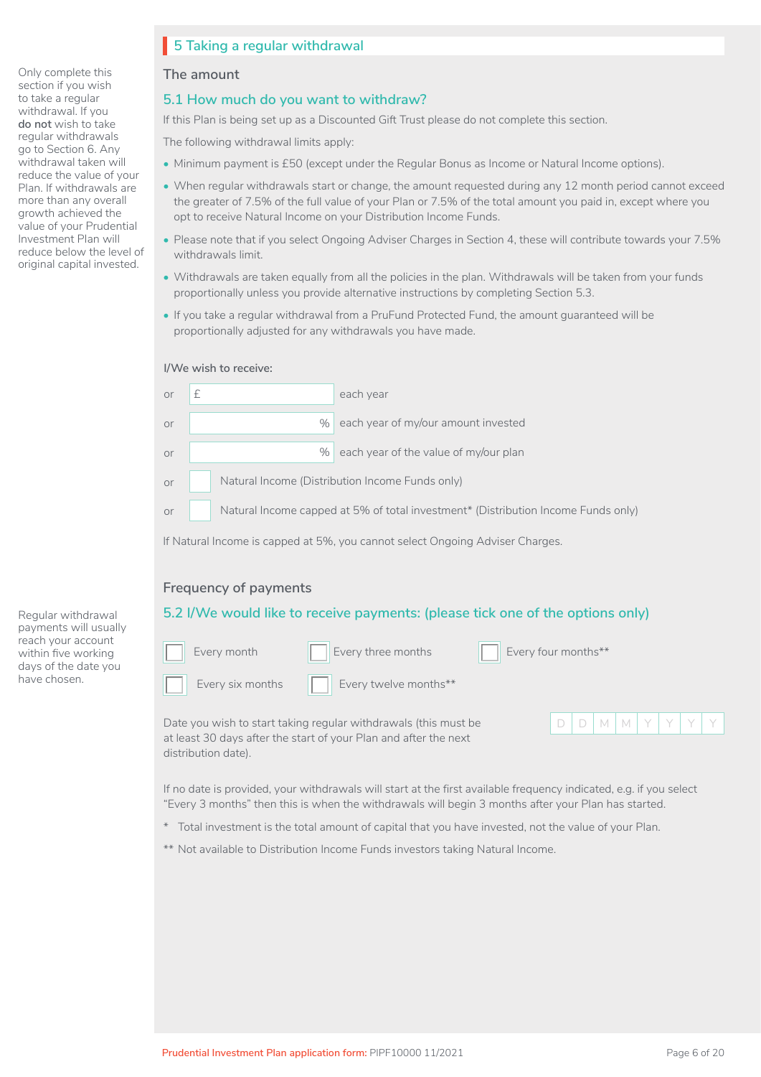## **5 Taking a regular withdrawal** I

### **The amount**

## **5.1 How much do you want to withdraw?**

If this Plan is being set up as a Discounted Gift Trust please do not complete this section.

The following withdrawal limits apply:

- Minimum payment is £50 (except under the Regular Bonus as Income or Natural Income options).
- When regular withdrawals start or change, the amount requested during any 12 month period cannot exceed the greater of 7.5% of the full value of your Plan or 7.5% of the total amount you paid in, except where you opt to receive Natural Income on your Distribution Income Funds.
- Please note that if you select Ongoing Adviser Charges in Section 4, these will contribute towards your 7.5% withdrawals limit.
- Withdrawals are taken equally from all the policies in the plan. Withdrawals will be taken from your funds proportionally unless you provide alternative instructions by completing Section 5.3.
- If you take a regular withdrawal from a PruFund Protected Fund, the amount guaranteed will be proportionally adjusted for any withdrawals you have made.

#### **I/We wish to receive:**

| O <sub>1</sub> |                                                 | each year                                                                         |
|----------------|-------------------------------------------------|-----------------------------------------------------------------------------------|
| or             | $\%$                                            | each year of my/our amount invested                                               |
| or             | $\%$                                            | each year of the value of my/our plan                                             |
| or             | Natural Income (Distribution Income Funds only) |                                                                                   |
| or             |                                                 | Natural Income capped at 5% of total investment* (Distribution Income Funds only) |

If Natural Income is capped at 5%, you cannot select Ongoing Adviser Charges.

## **Frequency of payments**

## **5.2 I/We would like to receive payments: (please tick one of the options only)**

Every three months  $\Box$  Every four months\*\* Every twelve months\*\* Every month Every six months

Date you wish to start taking regular withdrawals (this must be at least 30 days after the start of your Plan and after the next distribution date).

If no date is provided, your withdrawals will start at the first available frequency indicated, e.g. if you select

- "Every 3 months" then this is when the withdrawals will begin 3 months after your Plan has started. \* Total investment is the total amount of capital that you have invested, not the value of your Plan.
- \*\* Not available to Distribution Income Funds investors taking Natural Income.

Regular withdrawal payments will usually reach your account within five working days of the date you have chosen.

Only complete this section if you wish to take a regular withdrawal. If you **do not** wish to take regular withdrawals go to Section 6. Any withdrawal taken will reduce the value of your Plan. If withdrawals are more than any overall growth achieved the value of your Prudential Investment Plan will reduce below the level of original capital invested.

D | D | M | M | Y | Y | Y | Y

M M Y Y Y Y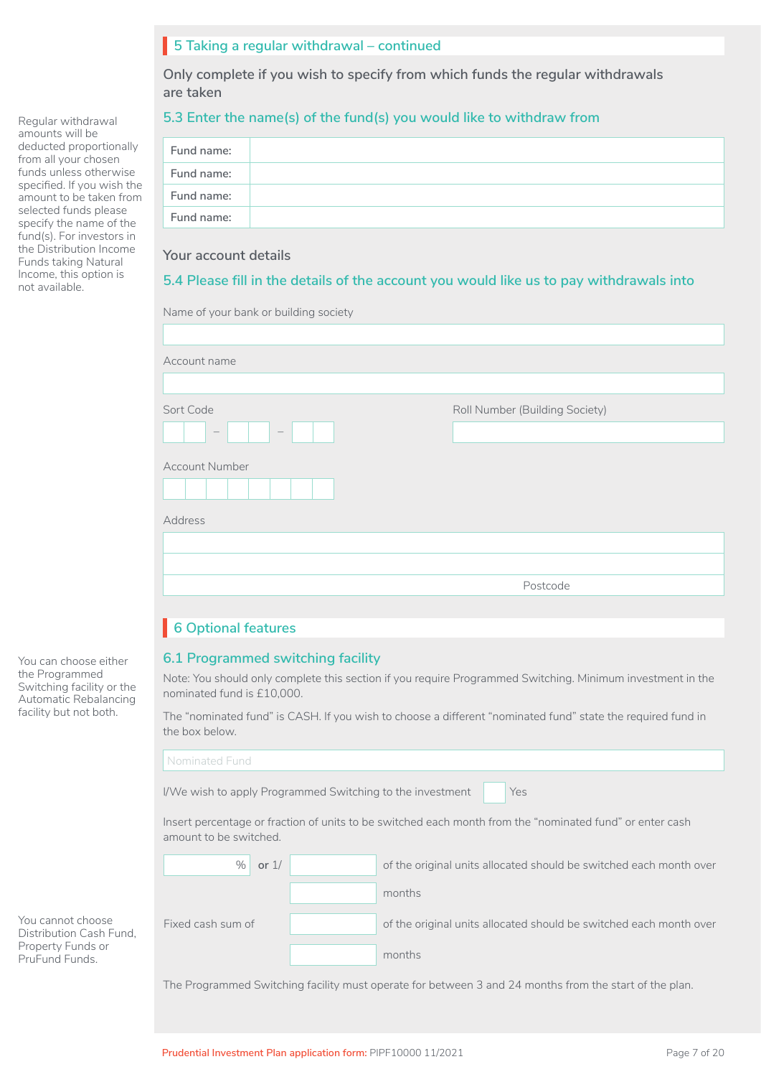## **5 Taking a regular withdrawal – continued** I

**Only complete if you wish to specify from which funds the regular withdrawals are taken**

## **5.3 Enter the name(s) of the fund(s) you would like to withdraw from**

| Fund name: |  |
|------------|--|
| Fund name: |  |
| Fund name: |  |
| Fund name: |  |

### **Your account details**

## **5.4 Please fill in the details of the account you would like us to pay withdrawals into**

| Account name             |                                |
|--------------------------|--------------------------------|
|                          |                                |
| Sort Code                | Roll Number (Building Society) |
| $\overline{\phantom{m}}$ |                                |
|                          |                                |
| <b>Account Number</b>    |                                |
|                          |                                |
| Address                  |                                |
|                          |                                |
|                          |                                |
|                          | Postcode                       |
|                          |                                |

Note: You should only complete this section if you require Programmed Switching. Minimum investment in the nominated fund is £10,000.

The "nominated fund" is CASH. If you wish to choose a different "nominated fund" state the required fund in the box below.

| Nominated Fund         |                                                           |        |                                                                                                          |
|------------------------|-----------------------------------------------------------|--------|----------------------------------------------------------------------------------------------------------|
|                        | I/We wish to apply Programmed Switching to the investment |        | Yes                                                                                                      |
| amount to be switched. |                                                           |        | Insert percentage or fraction of units to be switched each month from the "nominated fund" or enter cash |
| $\%$                   | or $1/$                                                   |        | of the original units allocated should be switched each month                                            |
|                        |                                                           | months |                                                                                                          |

You cannot choose Distribution Cash Fund, Property Funds or PruFund Funds.

You can choose either the Programmed Switching facility or the Automatic Rebalancing facility but not both.

Regular withdrawal amounts will be deducted proportionally from all your chosen funds unless otherwise specified. If you wish the amount to be taken from selected funds please specify the name of the fund(s). For investors in the Distribution Income Funds taking Natural Income, this option is not available.

The Programmed Switching facility must operate for between 3 and 24 months from the start of the plan.

months

Fixed cash sum of or the original units allocated should be switched each month over

n month over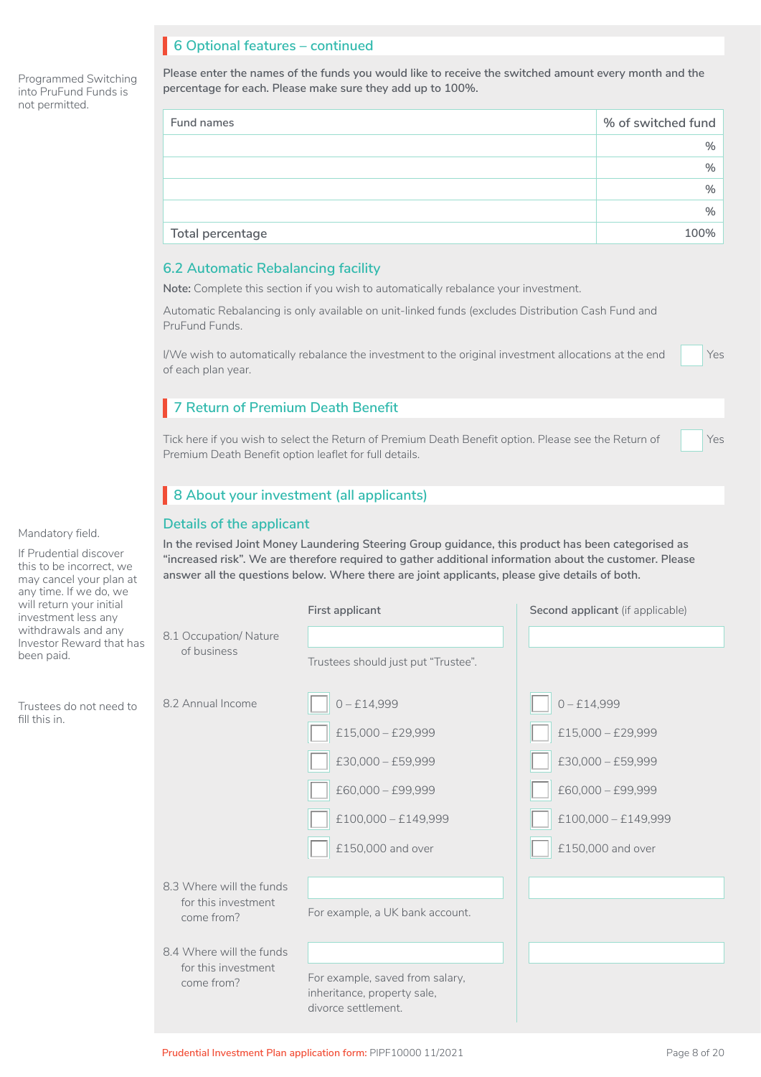## **6 Optional features – continued** I

Programmed Switching into PruFund Funds is not permitted.

**Please enter the names of the funds you would like to receive the switched amount every month and the percentage for each. Please make sure they add up to 100%.**

| Fund names       | % of switched fund |
|------------------|--------------------|
|                  | $\%$               |
|                  | $\%$               |
|                  | $\%$               |
|                  | $\%$               |
| Total percentage | 100%               |

### **6.2 Automatic Rebalancing facility**

**Note:** Complete this section if you wish to automatically rebalance your investment.

Automatic Rebalancing is only available on unit-linked funds (excludes Distribution Cash Fund and PruFund Funds.

I/We wish to automatically rebalance the investment to the original investment allocations at the end Yes of each plan year. L

## **7 Return of Premium Death Benefit**

Tick here if you wish to select the Return of Premium Death Benefit option. Please see the Return of Yes Premium Death Benefit option leaflet for full details.

## **8 About your investment (all applicants)** I

### **Details of the applicant**

**In the revised Joint Money Laundering Steering Group guidance, this product has been categorised as "increased risk". We are therefore required to gather additional information about the customer. Please answer all the questions below. Where there are joint applicants, please give details of both.**

| will return your initial<br>investment less any               |                                                               | First applicant                                                                       | Second applicant (if applicable) |
|---------------------------------------------------------------|---------------------------------------------------------------|---------------------------------------------------------------------------------------|----------------------------------|
| withdrawals and any<br>Investor Reward that has<br>been paid. | 8.1 Occupation/Nature<br>of business                          |                                                                                       |                                  |
|                                                               |                                                               | Trustees should just put "Trustee".                                                   |                                  |
| Trustees do not need to<br>fill this in.                      | 8.2 Annual Income                                             | $0 - £14,999$                                                                         | $0 - £14,999$                    |
|                                                               |                                                               | $£15,000 - £29,999$                                                                   | $£15,000 - £29,999$              |
|                                                               |                                                               | £30,000 - £59,999                                                                     | £30,000 - £59,999                |
|                                                               |                                                               | £60,000 - £99,999                                                                     | £60,000 - £99,999                |
|                                                               |                                                               | $£100,000 - £149,999$                                                                 | $£100,000 - £149,999$            |
|                                                               |                                                               | £150,000 and over                                                                     | £150,000 and over                |
|                                                               | 8.3 Where will the funds<br>for this investment<br>come from? |                                                                                       |                                  |
|                                                               |                                                               | For example, a UK bank account.                                                       |                                  |
|                                                               | 8.4 Where will the funds<br>for this investment<br>come from? |                                                                                       |                                  |
|                                                               |                                                               | For example, saved from salary,<br>inheritance, property sale,<br>divorce settlement. |                                  |
|                                                               |                                                               |                                                                                       |                                  |

Mandatory field. If Prudential discover

this to be incorrect, we may cancel your plan at any time. If we do, we will return y investment withdrawal Investor Re been paid.

L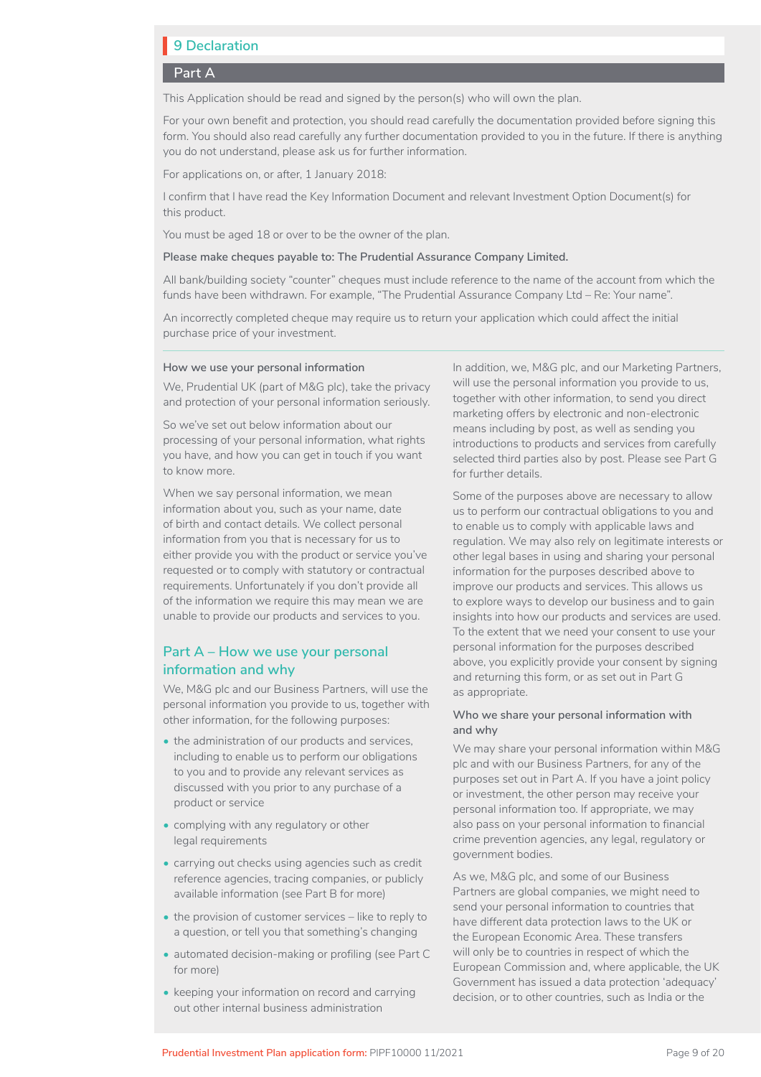## **9 Declaration** I

#### **Part A**

This Application should be read and signed by the person(s) who will own the plan.

For your own benefit and protection, you should read carefully the documentation provided before signing this form. You should also read carefully any further documentation provided to you in the future. If there is anything you do not understand, please ask us for further information.

For applications on, or after, 1 January 2018:

I confirm that I have read the Key Information Document and relevant Investment Option Document(s) for this product.

You must be aged 18 or over to be the owner of the plan.

#### **Please make cheques payable to: The Prudential Assurance Company Limited.**

All bank/building society "counter" cheques must include reference to the name of the account from which the funds have been withdrawn. For example, "The Prudential Assurance Company Ltd – Re: Your name".

An incorrectly completed cheque may require us to return your application which could affect the initial purchase price of your investment.

#### **How we use your personal information**

We, Prudential UK (part of M&G plc), take the privacy and protection of your personal information seriously.

So we've set out below information about our processing of your personal information, what rights you have, and how you can get in touch if you want to know more.

When we say personal information, we mean information about you, such as your name, date of birth and contact details. We collect personal information from you that is necessary for us to either provide you with the product or service you've requested or to comply with statutory or contractual requirements. Unfortunately if you don't provide all of the information we require this may mean we are unable to provide our products and services to you.

## **Part A – How we use your personal information and why**

We, M&G plc and our Business Partners, will use the personal information you provide to us, together with other information, for the following purposes:

- the administration of our products and services, including to enable us to perform our obligations to you and to provide any relevant services as discussed with you prior to any purchase of a product or service
- complying with any regulatory or other legal requirements
- carrying out checks using agencies such as credit reference agencies, tracing companies, or publicly available information (see Part B for more)
- the provision of customer services like to reply to a question, or tell you that something's changing
- automated decision-making or profiling (see Part C for more)
- keeping your information on record and carrying out other internal business administration

In addition, we, M&G plc, and our Marketing Partners, will use the personal information you provide to us, together with other information, to send you direct marketing offers by electronic and non-electronic means including by post, as well as sending you introductions to products and services from carefully selected third parties also by post. Please see Part G for further details.

Some of the purposes above are necessary to allow us to perform our contractual obligations to you and to enable us to comply with applicable laws and regulation. We may also rely on legitimate interests or other legal bases in using and sharing your personal information for the purposes described above to improve our products and services. This allows us to explore ways to develop our business and to gain insights into how our products and services are used. To the extent that we need your consent to use your personal information for the purposes described above, you explicitly provide your consent by signing and returning this form, or as set out in Part G as appropriate.

#### **Who we share your personal information with and why**

We may share your personal information within M&G plc and with our Business Partners, for any of the purposes set out in Part A. If you have a joint policy or investment, the other person may receive your personal information too. If appropriate, we may also pass on your personal information to financial crime prevention agencies, any legal, regulatory or government bodies.

As we, M&G plc, and some of our Business Partners are global companies, we might need to send your personal information to countries that have different data protection laws to the UK or the European Economic Area. These transfers will only be to countries in respect of which the European Commission and, where applicable, the UK Government has issued a data protection 'adequacy' decision, or to other countries, such as India or the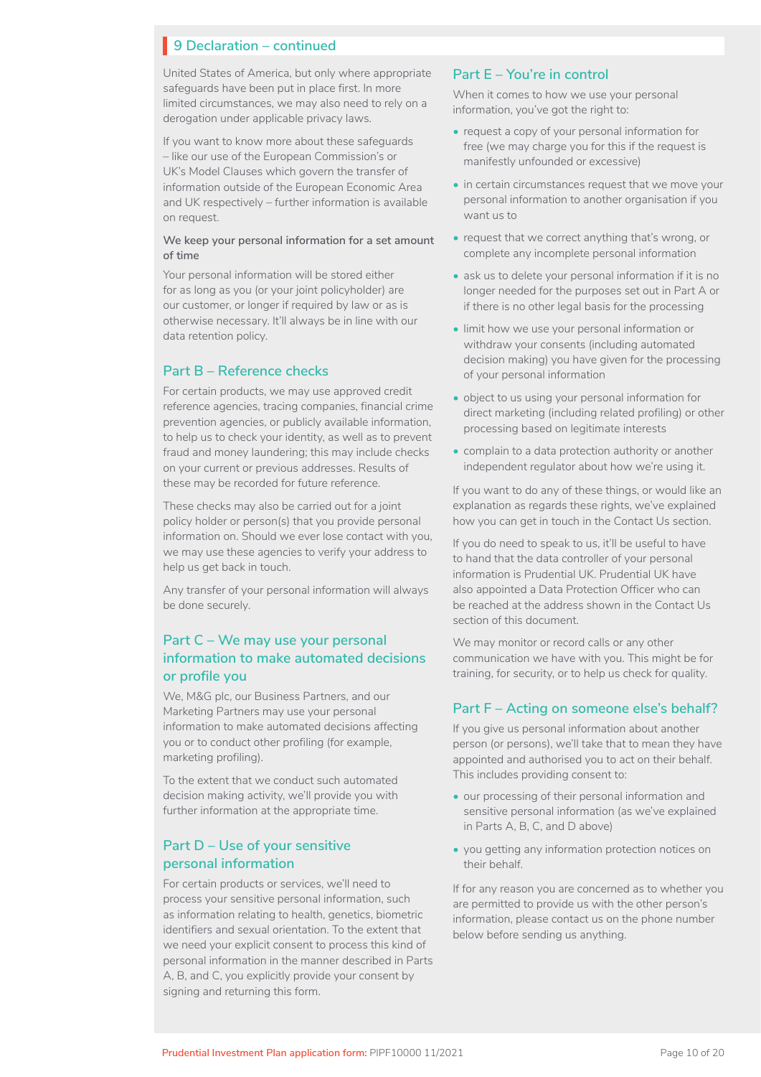United States of America, but only where appropriate safeguards have been put in place first. In more limited circumstances, we may also need to rely on a derogation under applicable privacy laws.

If you want to know more about these safeguards – like our use of the European Commission's or UK's Model Clauses which govern the transfer of information outside of the European Economic Area and UK respectively – further information is available on request.

#### **We keep your personal information for a set amount of time**

Your personal information will be stored either for as long as you (or your joint policyholder) are our customer, or longer if required by law or as is otherwise necessary. It'll always be in line with our data retention policy.

## **Part B – Reference checks**

For certain products, we may use approved credit reference agencies, tracing companies, financial crime prevention agencies, or publicly available information, to help us to check your identity, as well as to prevent fraud and money laundering; this may include checks on your current or previous addresses. Results of these may be recorded for future reference.

These checks may also be carried out for a joint policy holder or person(s) that you provide personal information on. Should we ever lose contact with you, we may use these agencies to verify your address to help us get back in touch.

Any transfer of your personal information will always be done securely.

## **Part C – We may use your personal information to make automated decisions or profile you**

We, M&G plc, our Business Partners, and our Marketing Partners may use your personal information to make automated decisions affecting you or to conduct other profiling (for example, marketing profiling).

To the extent that we conduct such automated decision making activity, we'll provide you with further information at the appropriate time.

## **Part D – Use of your sensitive personal information**

For certain products or services, we'll need to process your sensitive personal information, such as information relating to health, genetics, biometric identifiers and sexual orientation. To the extent that we need your explicit consent to process this kind of personal information in the manner described in Parts A, B, and C, you explicitly provide your consent by signing and returning this form.

## **Part E – You're in control**

When it comes to how we use your personal information, you've got the right to:

- request a copy of your personal information for free (we may charge you for this if the request is manifestly unfounded or excessive)
- in certain circumstances request that we move your personal information to another organisation if you want us to
- request that we correct anything that's wrong, or complete any incomplete personal information
- ask us to delete your personal information if it is no longer needed for the purposes set out in Part A or if there is no other legal basis for the processing
- limit how we use your personal information or withdraw your consents (including automated decision making) you have given for the processing of your personal information
- object to us using your personal information for direct marketing (including related profiling) or other processing based on legitimate interests
- complain to a data protection authority or another independent regulator about how we're using it.

If you want to do any of these things, or would like an explanation as regards these rights, we've explained how you can get in touch in the Contact Us section.

If you do need to speak to us, it'll be useful to have to hand that the data controller of your personal information is Prudential UK. Prudential UK have also appointed a Data Protection Officer who can be reached at the address shown in the Contact Us section of this document.

We may monitor or record calls or any other communication we have with you. This might be for training, for security, or to help us check for quality.

### **Part F – Acting on someone else's behalf?**

If you give us personal information about another person (or persons), we'll take that to mean they have appointed and authorised you to act on their behalf. This includes providing consent to:

- our processing of their personal information and sensitive personal information (as we've explained in Parts A, B, C, and D above)
- you getting any information protection notices on their behalf.

If for any reason you are concerned as to whether you are permitted to provide us with the other person's information, please contact us on the phone number below before sending us anything.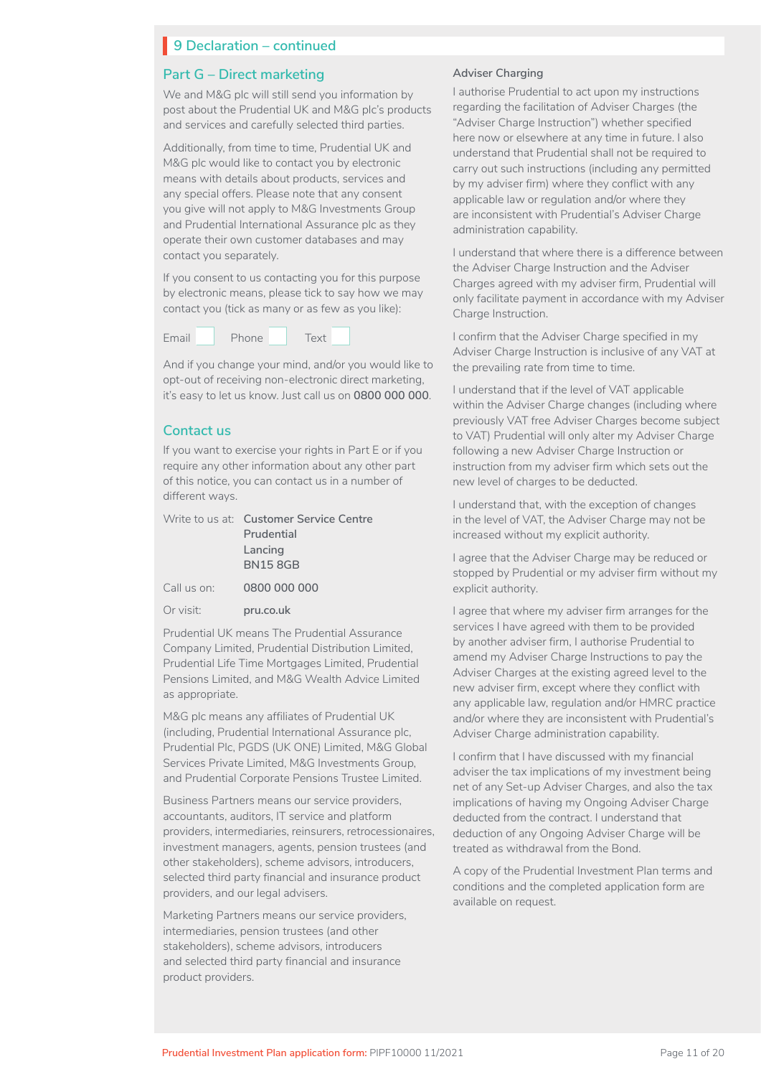#### **Part G – Direct marketing**

We and M&G plc will still send you information by post about the Prudential UK and M&G plc's products and services and carefully selected third parties.

Additionally, from time to time, Prudential UK and M&G plc would like to contact you by electronic means with details about products, services and any special offers. Please note that any consent you give will not apply to M&G Investments Group and Prudential International Assurance plc as they operate their own customer databases and may contact you separately.

If you consent to us contacting you for this purpose by electronic means, please tick to say how we may contact you (tick as many or as few as you like):

Email Phone Text and Text Phone Text

And if you change your mind, and/or you would like to opt-out of receiving non-electronic direct marketing, it's easy to let us know. Just call us on **0800 000 000**.

### **Contact us**

If you want to exercise your rights in Part E or if you require any other information about any other part of this notice, you can contact us in a number of different ways.

|             | Write to us at: Customer Service Centre |
|-------------|-----------------------------------------|
|             | Prudential                              |
|             | Lancing                                 |
|             | <b>BN158GB</b>                          |
| Call us on: | 0800 000 000                            |
| Or visit:   | pru.co.uk                               |

Prudential UK means The Prudential Assurance Company Limited, Prudential Distribution Limited, Prudential Life Time Mortgages Limited, Prudential Pensions Limited, and M&G Wealth Advice Limited as appropriate.

M&G plc means any affiliates of Prudential UK (including, Prudential International Assurance plc, Prudential Plc, PGDS (UK ONE) Limited, M&G Global Services Private Limited, M&G Investments Group, and Prudential Corporate Pensions Trustee Limited.

Business Partners means our service providers, accountants, auditors, IT service and platform providers, intermediaries, reinsurers, retrocessionaires, investment managers, agents, pension trustees (and other stakeholders), scheme advisors, introducers, selected third party financial and insurance product providers, and our legal advisers.

Marketing Partners means our service providers, intermediaries, pension trustees (and other stakeholders), scheme advisors, introducers and selected third party financial and insurance product providers.

#### **Adviser Charging**

I authorise Prudential to act upon my instructions regarding the facilitation of Adviser Charges (the "Adviser Charge Instruction") whether specified here now or elsewhere at any time in future. I also understand that Prudential shall not be required to carry out such instructions (including any permitted by my adviser firm) where they conflict with any applicable law or regulation and/or where they are inconsistent with Prudential's Adviser Charge administration capability.

I understand that where there is a difference between the Adviser Charge Instruction and the Adviser Charges agreed with my adviser firm, Prudential will only facilitate payment in accordance with my Adviser Charge Instruction.

I confirm that the Adviser Charge specified in my Adviser Charge Instruction is inclusive of any VAT at the prevailing rate from time to time.

I understand that if the level of VAT applicable within the Adviser Charge changes (including where previously VAT free Adviser Charges become subject to VAT) Prudential will only alter my Adviser Charge following a new Adviser Charge Instruction or instruction from my adviser firm which sets out the new level of charges to be deducted.

I understand that, with the exception of changes in the level of VAT, the Adviser Charge may not be increased without my explicit authority.

I agree that the Adviser Charge may be reduced or stopped by Prudential or my adviser firm without my explicit authority.

I agree that where my adviser firm arranges for the services I have agreed with them to be provided by another adviser firm, I authorise Prudential to amend my Adviser Charge Instructions to pay the Adviser Charges at the existing agreed level to the new adviser firm, except where they conflict with any applicable law, regulation and/or HMRC practice and/or where they are inconsistent with Prudential's Adviser Charge administration capability.

I confirm that I have discussed with my financial adviser the tax implications of my investment being net of any Set-up Adviser Charges, and also the tax implications of having my Ongoing Adviser Charge deducted from the contract. I understand that deduction of any Ongoing Adviser Charge will be treated as withdrawal from the Bond.

A copy of the Prudential Investment Plan terms and conditions and the completed application form are available on request.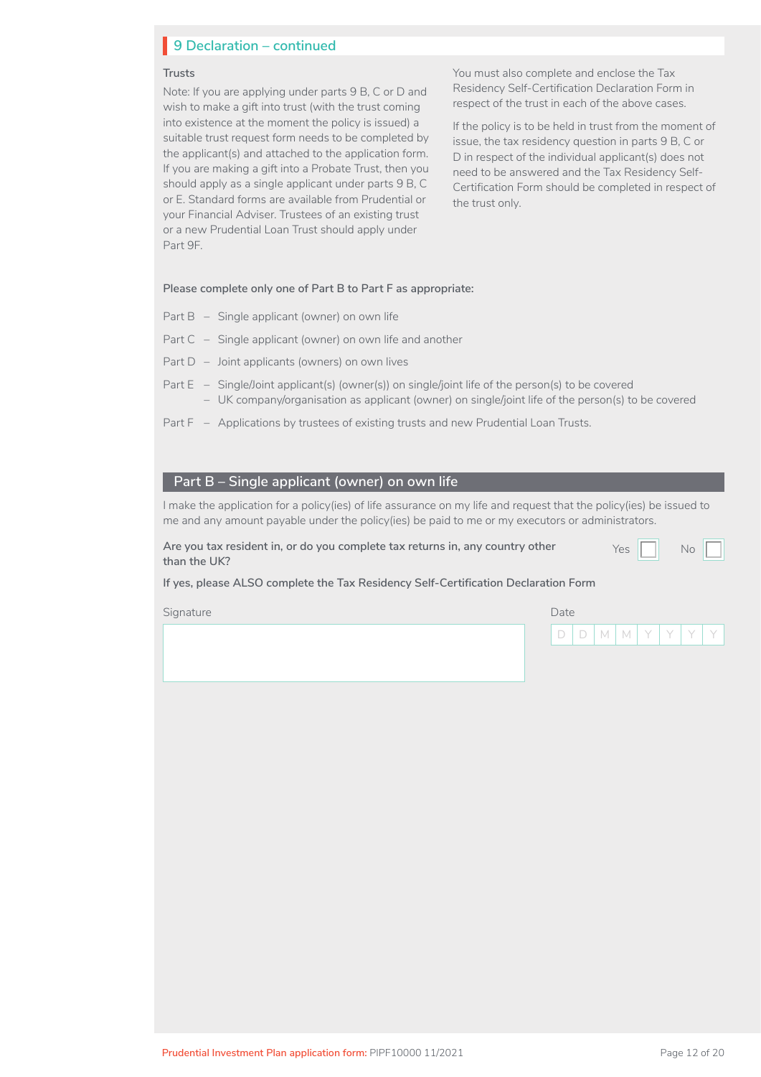#### **Trusts**

Note: If you are applying under parts 9 B, C or D and wish to make a gift into trust (with the trust coming into existence at the moment the policy is issued) a suitable trust request form needs to be completed by the applicant(s) and attached to the application form. If you are making a gift into a Probate Trust, then you should apply as a single applicant under parts 9 B, C or E. Standard forms are available from Prudential or your Financial Adviser. Trustees of an existing trust or a new Prudential Loan Trust should apply under Part 9F.

You must also complete and enclose the Tax Residency Self-Certification Declaration Form in respect of the trust in each of the above cases.

If the policy is to be held in trust from the moment of issue, the tax residency question in parts 9 B, C or D in respect of the individual applicant(s) does not need to be answered and the Tax Residency Self-Certification Form should be completed in respect of the trust only.

#### **Please complete only one of Part B to Part F as appropriate:**

- Part B Single applicant (owner) on own life
- Part C Single applicant (owner) on own life and another
- Part D Joint applicants (owners) on own lives
- Part E Single/Joint applicant(s) (owner(s)) on single/joint life of the person(s) to be covered – UK company/organisation as applicant (owner) on single/joint life of the person(s) to be covered
- Part F Applications by trustees of existing trusts and new Prudential Loan Trusts.

### **Part B – Single applicant (owner) on own life**

I make the application for a policy(ies) of life assurance on my life and request that the policy(ies) be issued to me and any amount payable under the policy(ies) be paid to me or my executors or administrators.

Are you tax resident in, or do you complete tax returns in, any country other  $Y_{\text{es}}$   $\Box$  No **than the UK?**  $N$ o

**If yes, please ALSO complete the Tax Residency Self-Certification Declaration Form**

Signature Date Date of the Contract of the Contract of the Contract of the Date Date Date

D | D | M | M | Y | Y | Y | Y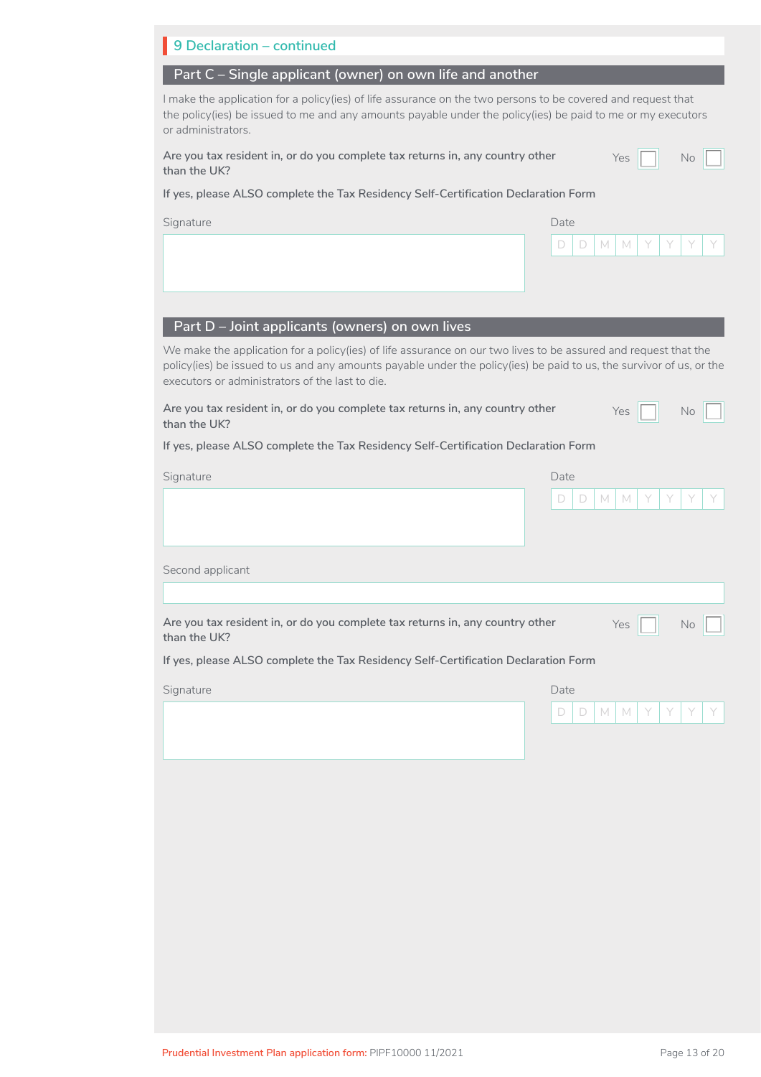| 9 Declaration - continued                                                                                                                                                                                                                                                                 |
|-------------------------------------------------------------------------------------------------------------------------------------------------------------------------------------------------------------------------------------------------------------------------------------------|
| Part C - Single applicant (owner) on own life and another                                                                                                                                                                                                                                 |
| I make the application for a policy(ies) of life assurance on the two persons to be covered and request that<br>the policy(ies) be issued to me and any amounts payable under the policy(ies) be paid to me or my executors<br>or administrators.                                         |
| Are you tax resident in, or do you complete tax returns in, any country other<br>Yes  <br>No<br>than the UK?                                                                                                                                                                              |
| If yes, please ALSO complete the Tax Residency Self-Certification Declaration Form                                                                                                                                                                                                        |
| Signature<br>Date                                                                                                                                                                                                                                                                         |
| D<br>M<br>D.<br>M<br>Y<br>Y                                                                                                                                                                                                                                                               |
|                                                                                                                                                                                                                                                                                           |
|                                                                                                                                                                                                                                                                                           |
| Part D - Joint applicants (owners) on own lives                                                                                                                                                                                                                                           |
| We make the application for a policy(ies) of life assurance on our two lives to be assured and request that the<br>policy(ies) be issued to us and any amounts payable under the policy(ies) be paid to us, the survivor of us, or the<br>executors or administrators of the last to die. |
| Are you tax resident in, or do you complete tax returns in, any country other<br>Yes<br>No<br>than the UK?                                                                                                                                                                                |
| If yes, please ALSO complete the Tax Residency Self-Certification Declaration Form                                                                                                                                                                                                        |
| Signature<br>Date                                                                                                                                                                                                                                                                         |
| D<br>D<br>M<br>M<br>Y                                                                                                                                                                                                                                                                     |
|                                                                                                                                                                                                                                                                                           |
|                                                                                                                                                                                                                                                                                           |
| Second applicant                                                                                                                                                                                                                                                                          |
|                                                                                                                                                                                                                                                                                           |
| Are you tax resident in, or do you complete tax returns in, any country other<br>Yes<br>No<br>than the UK?                                                                                                                                                                                |
| If yes, please ALSO complete the Tax Residency Self-Certification Declaration Form                                                                                                                                                                                                        |
| Signature<br>Date                                                                                                                                                                                                                                                                         |
| D<br>D<br>M<br>M                                                                                                                                                                                                                                                                          |
|                                                                                                                                                                                                                                                                                           |
|                                                                                                                                                                                                                                                                                           |
|                                                                                                                                                                                                                                                                                           |
|                                                                                                                                                                                                                                                                                           |
|                                                                                                                                                                                                                                                                                           |
|                                                                                                                                                                                                                                                                                           |
|                                                                                                                                                                                                                                                                                           |
|                                                                                                                                                                                                                                                                                           |
|                                                                                                                                                                                                                                                                                           |
|                                                                                                                                                                                                                                                                                           |
|                                                                                                                                                                                                                                                                                           |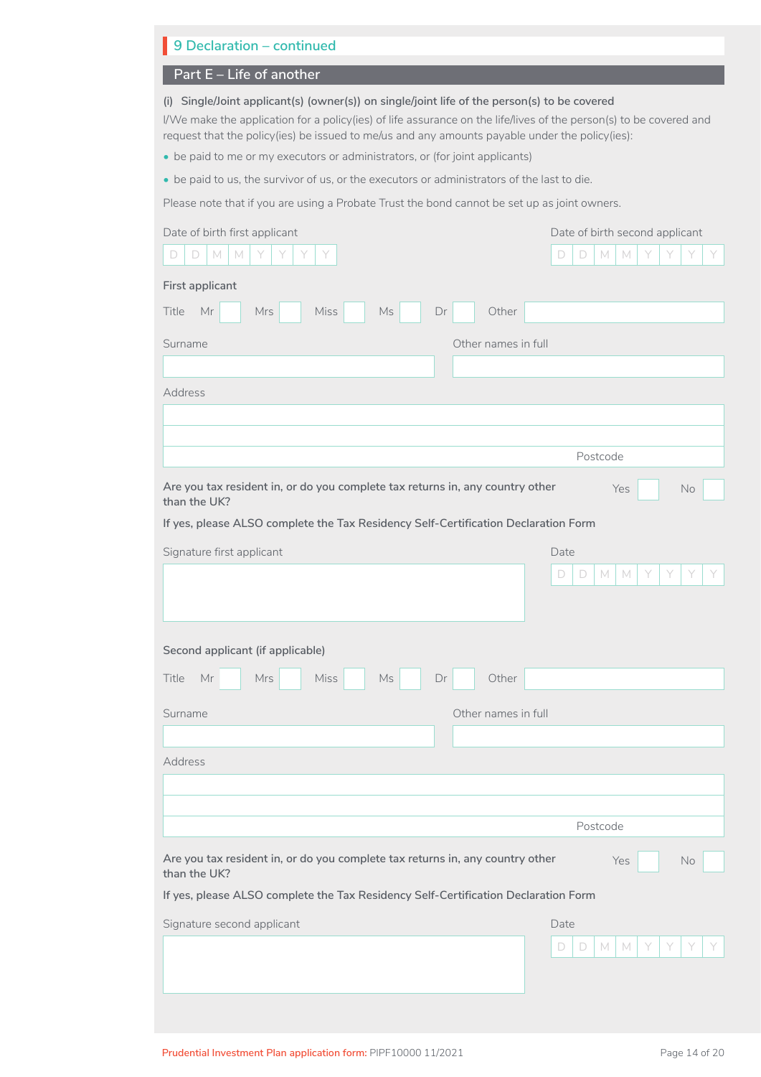| 9 Declaration - continued                                                                                                                                                                                                                                                                                                                                                                            |                                                    |
|------------------------------------------------------------------------------------------------------------------------------------------------------------------------------------------------------------------------------------------------------------------------------------------------------------------------------------------------------------------------------------------------------|----------------------------------------------------|
| Part E - Life of another                                                                                                                                                                                                                                                                                                                                                                             |                                                    |
| (i) Single/Joint applicant(s) (owner(s)) on single/joint life of the person(s) to be covered<br>I/We make the application for a policy(ies) of life assurance on the life/lives of the person(s) to be covered and<br>request that the policy(ies) be issued to me/us and any amounts payable under the policy(ies):<br>• be paid to me or my executors or administrators, or (for joint applicants) |                                                    |
| • be paid to us, the survivor of us, or the executors or administrators of the last to die.                                                                                                                                                                                                                                                                                                          |                                                    |
| Please note that if you are using a Probate Trust the bond cannot be set up as joint owners.                                                                                                                                                                                                                                                                                                         |                                                    |
| Date of birth first applicant<br>M<br>D<br>D<br>M<br>Y                                                                                                                                                                                                                                                                                                                                               | Date of birth second applicant<br>D<br>M<br>M<br>D |
| First applicant<br>Mr<br><b>Mrs</b><br><b>Miss</b><br>Other<br>Title<br>Ms<br>Dr                                                                                                                                                                                                                                                                                                                     |                                                    |
| Surname<br>Other names in full                                                                                                                                                                                                                                                                                                                                                                       |                                                    |
|                                                                                                                                                                                                                                                                                                                                                                                                      |                                                    |
| Address                                                                                                                                                                                                                                                                                                                                                                                              |                                                    |
|                                                                                                                                                                                                                                                                                                                                                                                                      |                                                    |
|                                                                                                                                                                                                                                                                                                                                                                                                      | Postcode                                           |
| If yes, please ALSO complete the Tax Residency Self-Certification Declaration Form                                                                                                                                                                                                                                                                                                                   |                                                    |
| Signature first applicant                                                                                                                                                                                                                                                                                                                                                                            | Date<br>D<br>M<br>M<br>D                           |
|                                                                                                                                                                                                                                                                                                                                                                                                      |                                                    |
|                                                                                                                                                                                                                                                                                                                                                                                                      |                                                    |
| <b>Miss</b><br>Ms<br>Other<br>Mr<br>Mrs<br>Dr                                                                                                                                                                                                                                                                                                                                                        |                                                    |
| Second applicant (if applicable)<br>Title<br>Other names in full<br>Surname                                                                                                                                                                                                                                                                                                                          |                                                    |
|                                                                                                                                                                                                                                                                                                                                                                                                      |                                                    |
|                                                                                                                                                                                                                                                                                                                                                                                                      |                                                    |
| Address                                                                                                                                                                                                                                                                                                                                                                                              |                                                    |
|                                                                                                                                                                                                                                                                                                                                                                                                      | Postcode                                           |
|                                                                                                                                                                                                                                                                                                                                                                                                      | No<br>Yes                                          |
|                                                                                                                                                                                                                                                                                                                                                                                                      |                                                    |
| Are you tax resident in, or do you complete tax returns in, any country other<br>than the UK?<br>If yes, please ALSO complete the Tax Residency Self-Certification Declaration Form<br>Signature second applicant                                                                                                                                                                                    | Date<br>M<br>Y<br>D<br>D<br>M                      |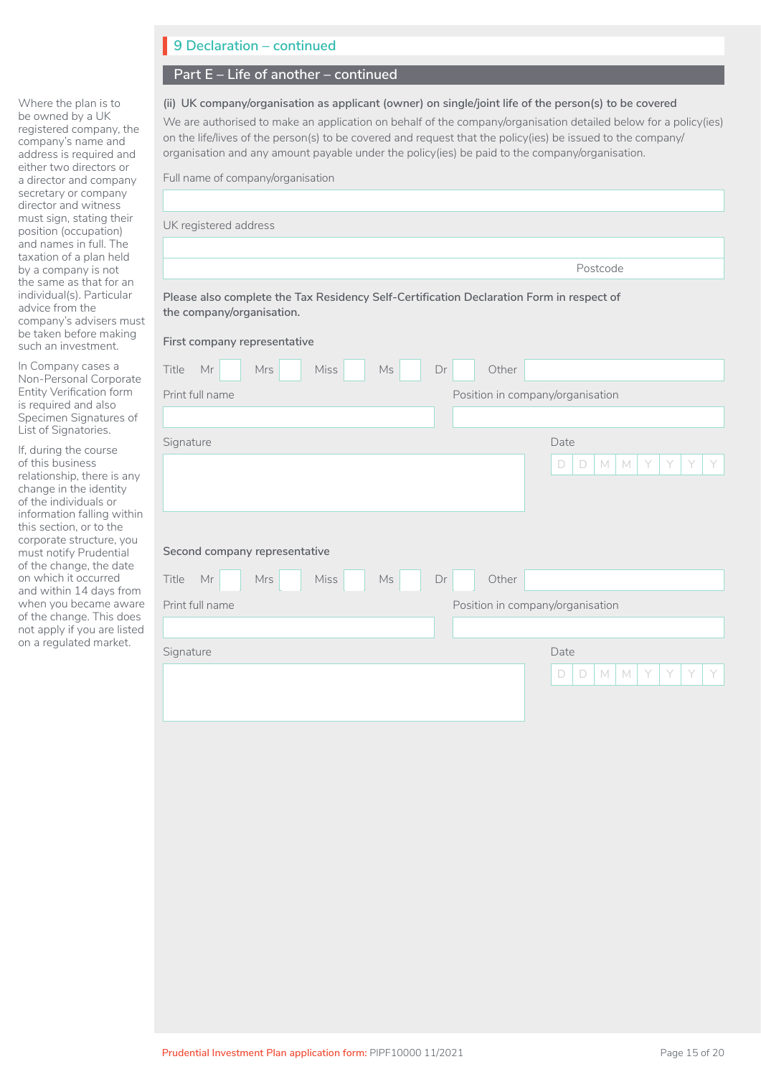## **Part E – Life of another – continued**

**(ii) UK company/organisation as applicant (owner) on single/joint life of the person(s) to be covered**

We are authorised to make an application on behalf of the company/organisation detailed below for a policy(ies) on the life/lives of the person(s) to be covered and request that the policy(ies) be issued to the company/ organisation and any amount payable under the policy(ies) be paid to the company/organisation.

|  |  | Full name of company/organisation |
|--|--|-----------------------------------|
|--|--|-----------------------------------|

Where the plan is to be owned by a UK registered company, the company's name and address is required and either two directors or a director and company secretary or company director and witness must sign, stating their position (occupation) and names in full. The taxation of a plan held by a company is not the same as that for an individual(s). Particular advice from the

company's advisers must be taken before making such an investment. In Company cases a Non-Personal Corporate Entity Verification form is required and also Specimen Signatures of List of Signatories. If, during the course of this business relationship, there is any change in the identity of the individuals or information falling within this section, or to the corporate structure, you must notify Prudential of the change, the date on which it occurred and within 14 days from when you became aware of the change. This does not apply if you are listed on a regulated market.

| UK registered address                                                                                                 |                                      |
|-----------------------------------------------------------------------------------------------------------------------|--------------------------------------|
|                                                                                                                       |                                      |
|                                                                                                                       | Postcode                             |
| Please also complete the Tax Residency Self-Certification Declaration Form in respect of<br>the company/organisation. |                                      |
| First company representative                                                                                          |                                      |
| Mr<br><b>Miss</b><br>Title<br><b>Mrs</b><br>Ms                                                                        | Other<br>Dr                          |
| Print full name                                                                                                       | Position in company/organisation     |
|                                                                                                                       |                                      |
| Signature                                                                                                             | Date                                 |
|                                                                                                                       | $\Box$<br>M<br>M<br>Y<br>Y<br>D<br>Y |
| Second company representative                                                                                         |                                      |
| Title<br>Mr<br><b>Miss</b><br>Ms<br><b>Mrs</b>                                                                        | Other<br>Dr                          |
| Print full name                                                                                                       | Position in company/organisation     |
|                                                                                                                       |                                      |
| Signature                                                                                                             | Date                                 |
|                                                                                                                       | Y<br>Y<br>Y<br>M<br>$\Box$<br>D<br>M |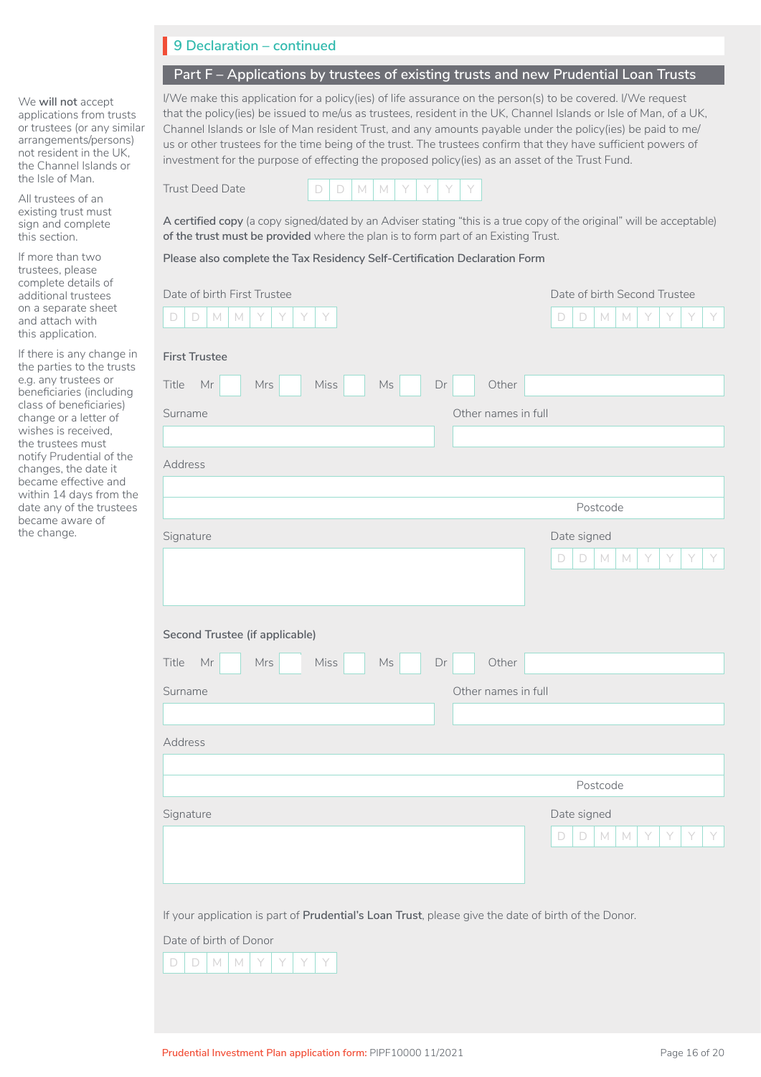We **will not** accept applications from trusts or trustees (or any similar arrangements/persons) not resident in the UK, the Channel Islands or the Isle of Man.

All trustees of an existing trust must sign and complete this section.

If more than two trustees, please complete details of additional trustees on a separate sheet and attach with this application.

If there is any change in the parties to the trusts e.g. any trustees or beneficiaries (including class of beneficiaries) change or a letter of wishes is received, the trustees must notify Prudential of the changes, the date it became effective and within 14 days from the date any of the trustees became aware of the change.

## **Part F – Applications by trustees of existing trusts and new Prudential Loan Trusts**

I/We make this application for a policy(ies) of life assurance on the person(s) to be covered. I/We request that the policy(ies) be issued to me/us as trustees, resident in the UK, Channel Islands or Isle of Man, of a UK, Channel Islands or Isle of Man resident Trust, and any amounts payable under the policy(ies) be paid to me/ us or other trustees for the time being of the trust. The trustees confirm that they have sufficient powers of investment for the purpose of effecting the proposed policy(ies) as an asset of the Trust Fund.

|--|

**A certified copy** (a copy signed/dated by an Adviser stating "this is a true copy of the original" will be acceptable) **of the trust must be provided** where the plan is to form part of an Existing Trust.

**Please also complete the Tax Residency Self-Certification Declaration Form**

| Date of birth First Trustee                                                                         | Date of birth Second Trustee                                                 |
|-----------------------------------------------------------------------------------------------------|------------------------------------------------------------------------------|
| Y<br>$\Box$<br>$\Box$<br>$\mathbb M$<br>$\mathbb M$<br>Y<br>Y.<br>Y                                 | $\Box$<br>$\Box$<br>$\mathbb M$<br>$\mathbb M$<br>Y<br>Y<br>Y<br>Y           |
| <b>First Trustee</b>                                                                                |                                                                              |
| Miss<br>Ms<br>Title<br>Mr<br>Mrs<br>Dr                                                              | Other                                                                        |
| Surname                                                                                             | Other names in full                                                          |
|                                                                                                     |                                                                              |
| Address                                                                                             |                                                                              |
|                                                                                                     | Postcode                                                                     |
|                                                                                                     |                                                                              |
| Signature                                                                                           | Date signed<br>Y<br>Y<br>$\mathbb M$<br>$\mathbb M$<br>Y<br>Y<br>$\Box$<br>D |
|                                                                                                     |                                                                              |
|                                                                                                     |                                                                              |
| Second Trustee (if applicable)                                                                      |                                                                              |
| Miss<br>Title<br>$\mathsf{Mr}$<br>Mrs<br>Ms<br>Dr                                                   | Other                                                                        |
| Surname                                                                                             | Other names in full                                                          |
|                                                                                                     |                                                                              |
| Address                                                                                             |                                                                              |
|                                                                                                     |                                                                              |
|                                                                                                     | Postcode                                                                     |
| Signature                                                                                           | Date signed                                                                  |
|                                                                                                     | $\Box$<br>$\mathbb M$<br>M<br>Y<br>Y<br>Y<br>D                               |
|                                                                                                     |                                                                              |
|                                                                                                     |                                                                              |
| If your application is part of Prudential's Loan Trust, please give the date of birth of the Donor. |                                                                              |
| Date of birth of Donor<br>Y<br>D<br>D<br>M<br>M<br>Y<br>Y<br>Y                                      |                                                                              |
|                                                                                                     |                                                                              |
|                                                                                                     |                                                                              |
|                                                                                                     |                                                                              |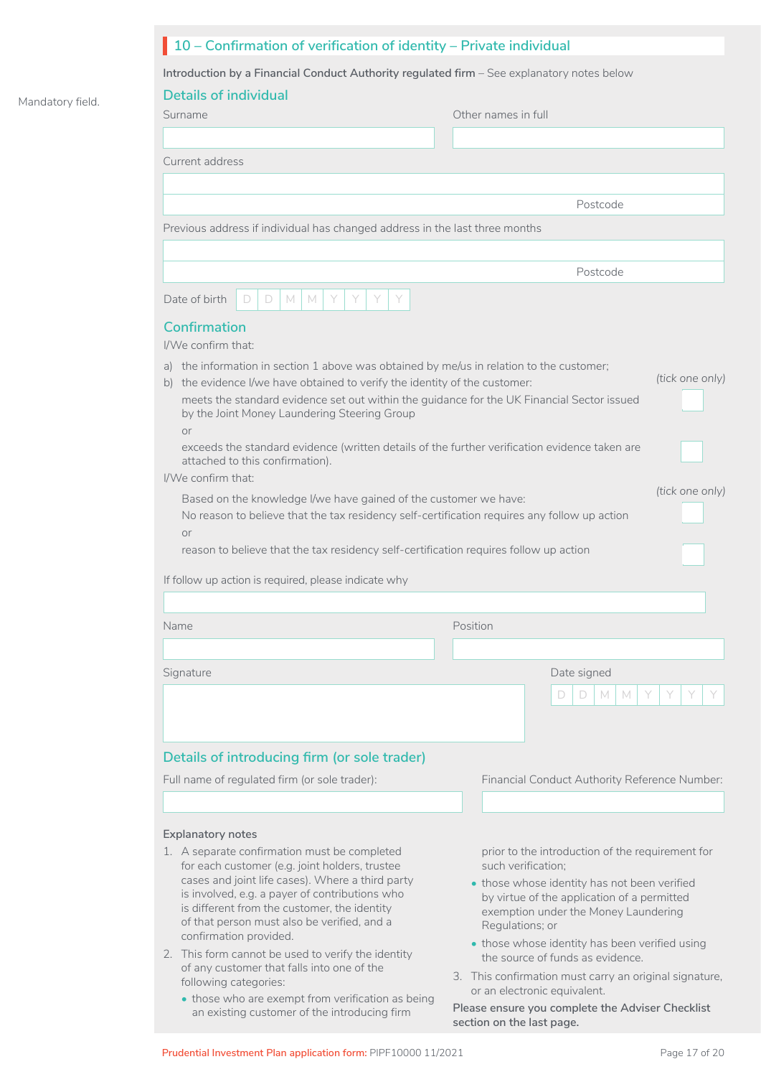## 10 – Confirmation of verification of identity – Private individual

**Introduction by a Financial Conduct Authority regulated firm** – See explanatory notes below

| Mandatory field. | <b>Details of individual</b>                                                                                                                                                                                                                                                                                                                                                                                                                               |                                                                                                                                                                                                                                                                                                                        |  |  |
|------------------|------------------------------------------------------------------------------------------------------------------------------------------------------------------------------------------------------------------------------------------------------------------------------------------------------------------------------------------------------------------------------------------------------------------------------------------------------------|------------------------------------------------------------------------------------------------------------------------------------------------------------------------------------------------------------------------------------------------------------------------------------------------------------------------|--|--|
|                  | Surname                                                                                                                                                                                                                                                                                                                                                                                                                                                    | Other names in full                                                                                                                                                                                                                                                                                                    |  |  |
|                  |                                                                                                                                                                                                                                                                                                                                                                                                                                                            |                                                                                                                                                                                                                                                                                                                        |  |  |
|                  | Current address                                                                                                                                                                                                                                                                                                                                                                                                                                            |                                                                                                                                                                                                                                                                                                                        |  |  |
|                  |                                                                                                                                                                                                                                                                                                                                                                                                                                                            |                                                                                                                                                                                                                                                                                                                        |  |  |
|                  |                                                                                                                                                                                                                                                                                                                                                                                                                                                            | Postcode                                                                                                                                                                                                                                                                                                               |  |  |
|                  | Previous address if individual has changed address in the last three months                                                                                                                                                                                                                                                                                                                                                                                |                                                                                                                                                                                                                                                                                                                        |  |  |
|                  |                                                                                                                                                                                                                                                                                                                                                                                                                                                            |                                                                                                                                                                                                                                                                                                                        |  |  |
|                  |                                                                                                                                                                                                                                                                                                                                                                                                                                                            | Postcode                                                                                                                                                                                                                                                                                                               |  |  |
|                  | Date of birth<br>M<br>Y<br>Y<br>M<br>Y<br>D<br>D.                                                                                                                                                                                                                                                                                                                                                                                                          |                                                                                                                                                                                                                                                                                                                        |  |  |
|                  | Confirmation<br>I/We confirm that:                                                                                                                                                                                                                                                                                                                                                                                                                         |                                                                                                                                                                                                                                                                                                                        |  |  |
|                  | a) the information in section 1 above was obtained by me/us in relation to the customer;<br>b) the evidence I/we have obtained to verify the identity of the customer:<br>meets the standard evidence set out within the guidance for the UK Financial Sector issued<br>by the Joint Money Laundering Steering Group<br>or                                                                                                                                 | (tick one only)                                                                                                                                                                                                                                                                                                        |  |  |
|                  | exceeds the standard evidence (written details of the further verification evidence taken are<br>attached to this confirmation).<br>I/We confirm that:                                                                                                                                                                                                                                                                                                     |                                                                                                                                                                                                                                                                                                                        |  |  |
|                  | (tick one only)<br>Based on the knowledge I/we have gained of the customer we have:<br>No reason to believe that the tax residency self-certification requires any follow up action<br><b>or</b><br>reason to believe that the tax residency self-certification requires follow up action                                                                                                                                                                  |                                                                                                                                                                                                                                                                                                                        |  |  |
|                  | If follow up action is required, please indicate why                                                                                                                                                                                                                                                                                                                                                                                                       |                                                                                                                                                                                                                                                                                                                        |  |  |
|                  | Name                                                                                                                                                                                                                                                                                                                                                                                                                                                       | Position                                                                                                                                                                                                                                                                                                               |  |  |
|                  |                                                                                                                                                                                                                                                                                                                                                                                                                                                            |                                                                                                                                                                                                                                                                                                                        |  |  |
|                  | Signature                                                                                                                                                                                                                                                                                                                                                                                                                                                  | Date signed                                                                                                                                                                                                                                                                                                            |  |  |
|                  |                                                                                                                                                                                                                                                                                                                                                                                                                                                            | M<br>M<br>D<br>D.                                                                                                                                                                                                                                                                                                      |  |  |
|                  | Details of introducing firm (or sole trader)                                                                                                                                                                                                                                                                                                                                                                                                               |                                                                                                                                                                                                                                                                                                                        |  |  |
|                  | Full name of regulated firm (or sole trader):                                                                                                                                                                                                                                                                                                                                                                                                              | Financial Conduct Authority Reference Number:                                                                                                                                                                                                                                                                          |  |  |
|                  |                                                                                                                                                                                                                                                                                                                                                                                                                                                            |                                                                                                                                                                                                                                                                                                                        |  |  |
|                  | <b>Explanatory notes</b>                                                                                                                                                                                                                                                                                                                                                                                                                                   |                                                                                                                                                                                                                                                                                                                        |  |  |
|                  | 1. A separate confirmation must be completed<br>for each customer (e.g. joint holders, trustee<br>cases and joint life cases). Where a third party<br>is involved, e.g. a payer of contributions who<br>is different from the customer, the identity<br>of that person must also be verified, and a<br>confirmation provided.<br>2. This form cannot be used to verify the identity<br>of any customer that falls into one of the<br>following categories: | prior to the introduction of the requirement for<br>such verification;<br>• those whose identity has not been verified<br>by virtue of the application of a permitted<br>exemption under the Money Laundering<br>Regulations; or<br>• those whose identity has been verified using<br>the source of funds as evidence. |  |  |
|                  |                                                                                                                                                                                                                                                                                                                                                                                                                                                            | 3. This confirmation must carry an original signature,<br>or an electronic equivalent.                                                                                                                                                                                                                                 |  |  |
|                  | • those who are exempt from verification as being<br>an existing customer of the introducing firm                                                                                                                                                                                                                                                                                                                                                          | Please ensure you complete the Adviser Checklist<br>section on the last page.                                                                                                                                                                                                                                          |  |  |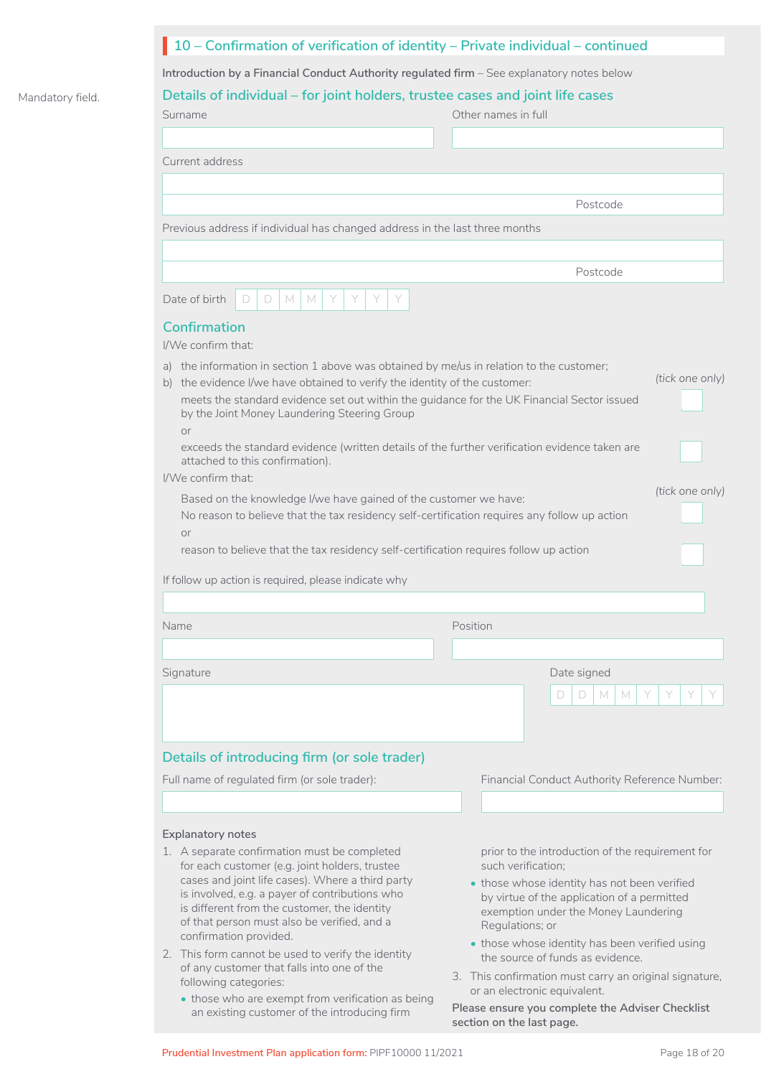|                  | 10 - Confirmation of verification of identity - Private individual - continued                                                                                                                                                                                                                      |                                                                                                                                                        |  |  |
|------------------|-----------------------------------------------------------------------------------------------------------------------------------------------------------------------------------------------------------------------------------------------------------------------------------------------------|--------------------------------------------------------------------------------------------------------------------------------------------------------|--|--|
|                  | Introduction by a Financial Conduct Authority regulated firm - See explanatory notes below                                                                                                                                                                                                          |                                                                                                                                                        |  |  |
| Mandatory field. | Details of individual – for joint holders, trustee cases and joint life cases                                                                                                                                                                                                                       |                                                                                                                                                        |  |  |
|                  | Surname                                                                                                                                                                                                                                                                                             | Other names in full                                                                                                                                    |  |  |
|                  |                                                                                                                                                                                                                                                                                                     |                                                                                                                                                        |  |  |
|                  | Current address                                                                                                                                                                                                                                                                                     |                                                                                                                                                        |  |  |
|                  |                                                                                                                                                                                                                                                                                                     |                                                                                                                                                        |  |  |
|                  |                                                                                                                                                                                                                                                                                                     | Postcode                                                                                                                                               |  |  |
|                  | Previous address if individual has changed address in the last three months                                                                                                                                                                                                                         |                                                                                                                                                        |  |  |
|                  |                                                                                                                                                                                                                                                                                                     |                                                                                                                                                        |  |  |
|                  |                                                                                                                                                                                                                                                                                                     | Postcode                                                                                                                                               |  |  |
|                  | Date of birth<br>Y<br>Y<br>M<br>M<br>Y<br>D.<br>D.                                                                                                                                                                                                                                                  |                                                                                                                                                        |  |  |
|                  | Confirmation<br>I/We confirm that:                                                                                                                                                                                                                                                                  |                                                                                                                                                        |  |  |
|                  | a) the information in section 1 above was obtained by me/us in relation to the customer;                                                                                                                                                                                                            |                                                                                                                                                        |  |  |
|                  | b) the evidence I/we have obtained to verify the identity of the customer:                                                                                                                                                                                                                          | (tick one only)                                                                                                                                        |  |  |
|                  | meets the standard evidence set out within the guidance for the UK Financial Sector issued<br>by the Joint Money Laundering Steering Group                                                                                                                                                          |                                                                                                                                                        |  |  |
|                  | or<br>exceeds the standard evidence (written details of the further verification evidence taken are<br>attached to this confirmation).                                                                                                                                                              |                                                                                                                                                        |  |  |
|                  | I/We confirm that:                                                                                                                                                                                                                                                                                  |                                                                                                                                                        |  |  |
|                  | (tick one only)<br>Based on the knowledge I/we have gained of the customer we have:                                                                                                                                                                                                                 |                                                                                                                                                        |  |  |
|                  | No reason to believe that the tax residency self-certification requires any follow up action                                                                                                                                                                                                        |                                                                                                                                                        |  |  |
|                  | or<br>reason to believe that the tax residency self-certification requires follow up action                                                                                                                                                                                                         |                                                                                                                                                        |  |  |
|                  |                                                                                                                                                                                                                                                                                                     |                                                                                                                                                        |  |  |
|                  | If follow up action is required, please indicate why                                                                                                                                                                                                                                                |                                                                                                                                                        |  |  |
|                  |                                                                                                                                                                                                                                                                                                     |                                                                                                                                                        |  |  |
|                  | Name                                                                                                                                                                                                                                                                                                | Position                                                                                                                                               |  |  |
|                  |                                                                                                                                                                                                                                                                                                     |                                                                                                                                                        |  |  |
|                  | Signature                                                                                                                                                                                                                                                                                           | Date signed                                                                                                                                            |  |  |
|                  |                                                                                                                                                                                                                                                                                                     | M<br>D<br>D<br>M                                                                                                                                       |  |  |
|                  |                                                                                                                                                                                                                                                                                                     |                                                                                                                                                        |  |  |
|                  | Details of introducing firm (or sole trader)                                                                                                                                                                                                                                                        |                                                                                                                                                        |  |  |
|                  | Full name of regulated firm (or sole trader):                                                                                                                                                                                                                                                       | Financial Conduct Authority Reference Number:                                                                                                          |  |  |
|                  |                                                                                                                                                                                                                                                                                                     |                                                                                                                                                        |  |  |
|                  |                                                                                                                                                                                                                                                                                                     |                                                                                                                                                        |  |  |
|                  | <b>Explanatory notes</b>                                                                                                                                                                                                                                                                            |                                                                                                                                                        |  |  |
|                  | 1. A separate confirmation must be completed<br>for each customer (e.g. joint holders, trustee<br>cases and joint life cases). Where a third party<br>is involved, e.g. a payer of contributions who<br>is different from the customer, the identity<br>of that person must also be verified, and a | prior to the introduction of the requirement for<br>such verification:                                                                                 |  |  |
|                  |                                                                                                                                                                                                                                                                                                     | • those whose identity has not been verified<br>by virtue of the application of a permitted<br>exemption under the Money Laundering<br>Regulations; or |  |  |
|                  | confirmation provided.                                                                                                                                                                                                                                                                              | • those whose identity has been verified using                                                                                                         |  |  |
|                  | 2. This form cannot be used to verify the identity<br>of any customer that falls into one of the<br>following categories:                                                                                                                                                                           | the source of funds as evidence.<br>3. This confirmation must carry an original signature,                                                             |  |  |
|                  | • those who are exempt from verification as being<br>an existing customer of the introducing firm                                                                                                                                                                                                   | or an electronic equivalent.<br>Please ensure you complete the Adviser Checklist                                                                       |  |  |
|                  |                                                                                                                                                                                                                                                                                                     | section on the last page.                                                                                                                              |  |  |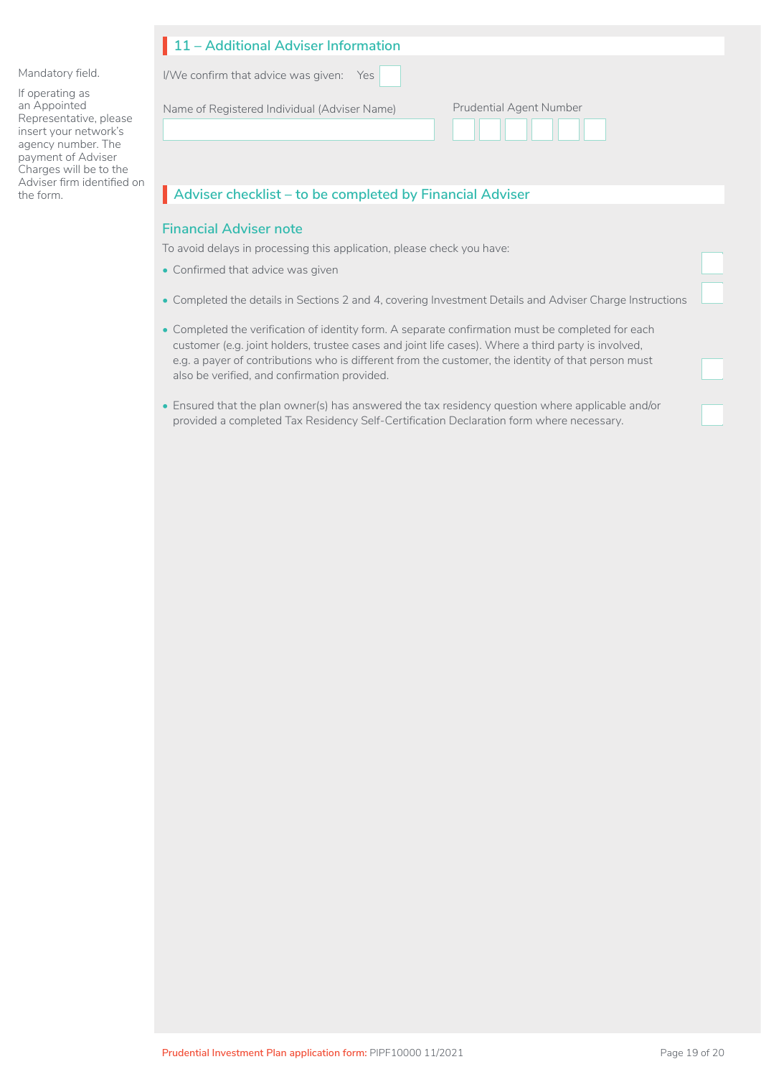#### Mandatory field.

If operating as an Appointed Representative, please insert your network's agency number. The payment of Adviser Charges will be to the Adviser firm identified on the form.

| 11 - Additional Adviser Information          |                                     |  |
|----------------------------------------------|-------------------------------------|--|
| I/We confirm that advice was given: Yes      |                                     |  |
| Name of Registered Individual (Adviser Name) | <b>Prudential Agent Number</b><br>. |  |
|                                              |                                     |  |

## Adviser checklist – to be completed by Financial Adviser

### **Financial Adviser note**

To avoid delays in processing this application, please check you have:

- Confirmed that advice was given
- Completed the details in Sections 2 and 4, covering Investment Details and Adviser Charge Instructions
- Completed the verification of identity form. A separate confirmation must be completed for each customer (e.g. joint holders, trustee cases and joint life cases). Where a third party is involved, e.g. a payer of contributions who is different from the customer, the identity of that person must also be verified, and confirmation provided.
- Ensured that the plan owner(s) has answered the tax residency question where applicable and/or provided a completed Tax Residency Self-Certification Declaration form where necessary.

 $\Box$ 

 $\Box$ 

□

□